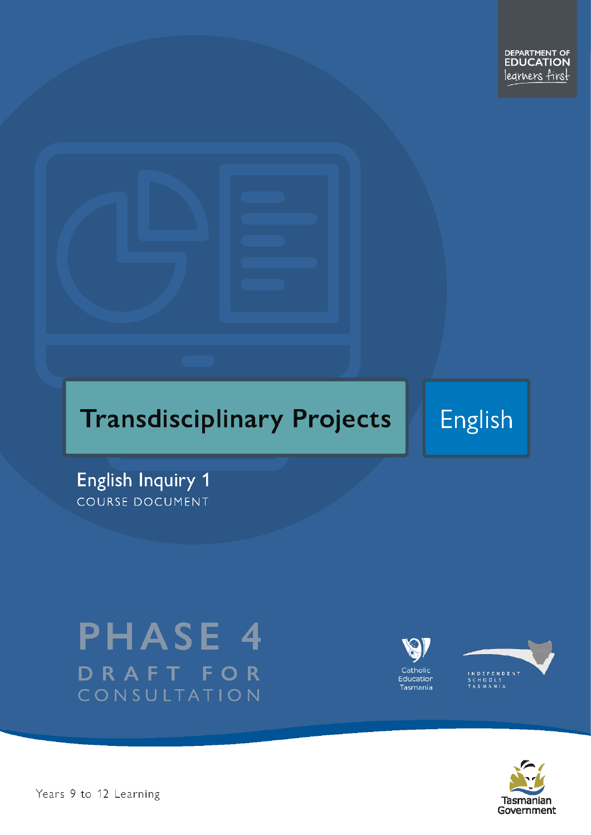# **Transdisciplinary Projects**

**English** 

**English Inquiry 1** COURSE DOCUMENT

# **PHASE 4** DRAFT FOR CONSULTATION





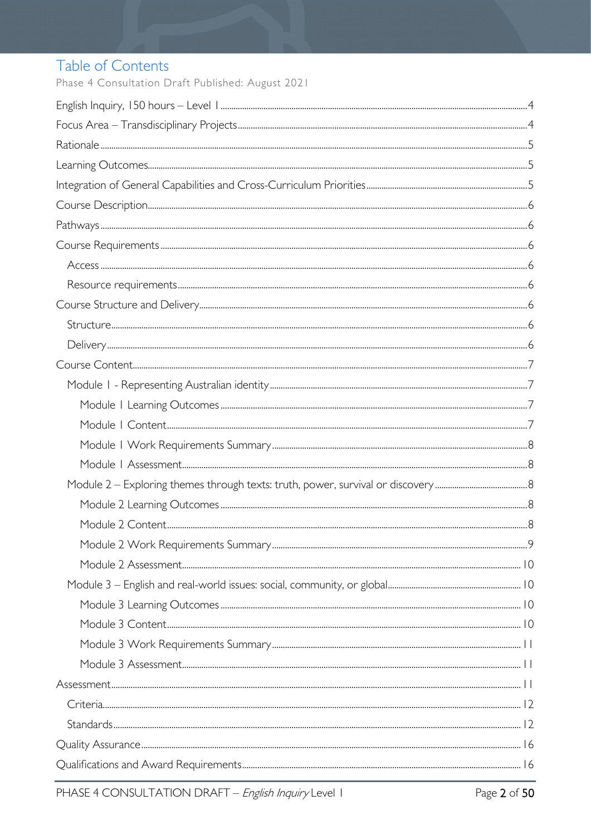# Table of Contents

Phase 4 Consultation Draft Published: August 2021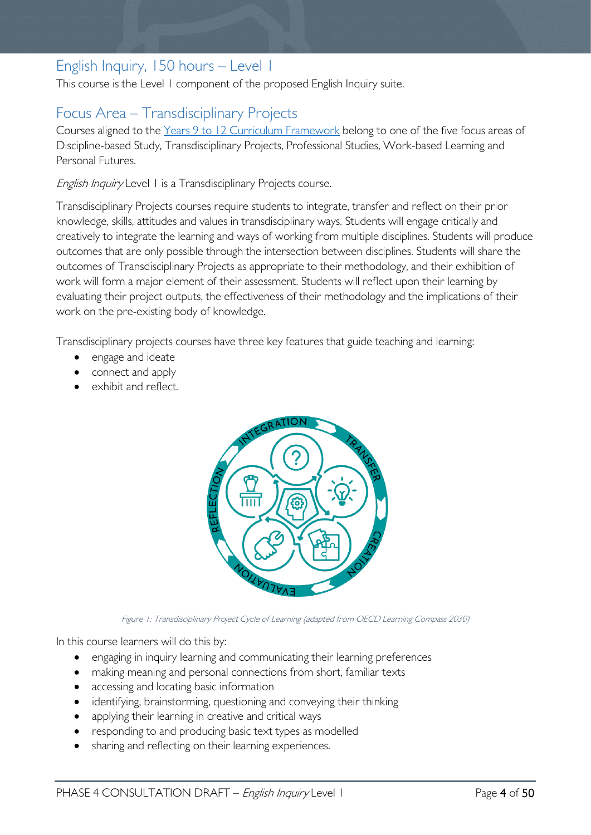# <span id="page-3-0"></span>English Inquiry, 150 hours – Level 1

This course is the Level 1 component of the proposed English Inquiry suite.

# <span id="page-3-1"></span>Focus Area – Transdisciplinary Projects

Courses aligned to the [Years 9 to 12 Curriculum Framework](https://publicdocumentcentre.education.tas.gov.au/library/Shared%20Documents/Education%209-12%20Frameworks%20A3%20WEB%20POSTER.pdf) belong to one of the five focus areas of Discipline-based Study, Transdisciplinary Projects, Professional Studies, Work-based Learning and Personal Futures.

English Inquiry Level 1 is a Transdisciplinary Projects course.

Transdisciplinary Projects courses require students to integrate, transfer and reflect on their prior knowledge, skills, attitudes and values in transdisciplinary ways. Students will engage critically and creatively to integrate the learning and ways of working from multiple disciplines. Students will produce outcomes that are only possible through the intersection between disciplines. Students will share the outcomes of Transdisciplinary Projects as appropriate to their methodology, and their exhibition of work will form a major element of their assessment. Students will reflect upon their learning by evaluating their project outputs, the effectiveness of their methodology and the implications of their work on the pre-existing body of knowledge.

Transdisciplinary projects courses have three key features that guide teaching and learning:

- engage and ideate
- connect and apply
- exhibit and reflect.



Figure 1: Transdisciplinary Project Cycle of Learning (adapted from OECD Learning Compass 2030)

In this course learners will do this by:

- engaging in inquiry learning and communicating their learning preferences
- making meaning and personal connections from short, familiar texts
- accessing and locating basic information
- identifying, brainstorming, questioning and conveying their thinking
- applying their learning in creative and critical ways
- responding to and producing basic text types as modelled
- sharing and reflecting on their learning experiences.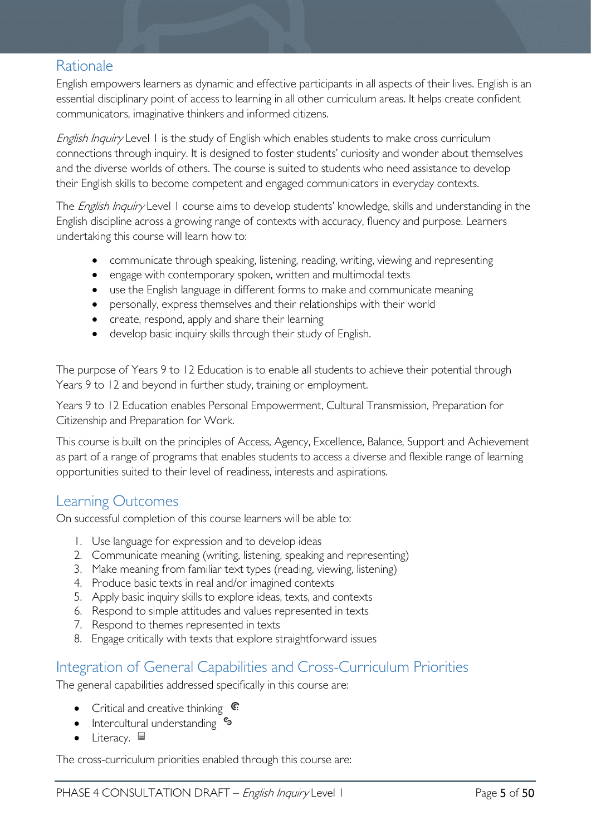## <span id="page-4-0"></span>Rationale

English empowers learners as dynamic and effective participants in all aspects of their lives. English is an essential disciplinary point of access to learning in all other curriculum areas. It helps create confident communicators, imaginative thinkers and informed citizens.

English Inquiry Level 1 is the study of English which enables students to make cross curriculum connections through inquiry. It is designed to foster students' curiosity and wonder about themselves and the diverse worlds of others. The course is suited to students who need assistance to develop their English skills to become competent and engaged communicators in everyday contexts.

The *English Inquiry* Level 1 course aims to develop students' knowledge, skills and understanding in the English discipline across a growing range of contexts with accuracy, fluency and purpose. Learners undertaking this course will learn how to:

- communicate through speaking, listening, reading, writing, viewing and representing
- engage with contemporary spoken, written and multimodal texts
- use the English language in different forms to make and communicate meaning
- personally, express themselves and their relationships with their world
- create, respond, apply and share their learning
- develop basic inquiry skills through their study of English.

The purpose of Years 9 to 12 Education is to enable all students to achieve their potential through Years 9 to 12 and beyond in further study, training or employment.

Years 9 to 12 Education enables Personal Empowerment, Cultural Transmission, Preparation for Citizenship and Preparation for Work.

This course is built on the principles of Access, Agency, Excellence, Balance, Support and Achievement as part of a range of programs that enables students to access a diverse and flexible range of learning opportunities suited to their level of readiness, interests and aspirations.

### <span id="page-4-1"></span>Learning Outcomes

On successful completion of this course learners will be able to:

- 1. Use language for expression and to develop ideas
- 2. Communicate meaning (writing, listening, speaking and representing)
- 3. Make meaning from familiar text types (reading, viewing, listening)
- 4. Produce basic texts in real and/or imagined contexts
- 5. Apply basic inquiry skills to explore ideas, texts, and contexts
- 6. Respond to simple attitudes and values represented in texts
- 7. Respond to themes represented in texts
- 8. Engage critically with texts that explore straightforward issues

### <span id="page-4-2"></span>Integration of General Capabilities and Cross-Curriculum Priorities

The general capabilities addressed specifically in this course are:

- Critical and creative thinking  $\mathbb{C}$
- Intercultural understanding  $\frac{c_3}{b_1}$
- Literacy.  $\blacksquare$

The cross-curriculum priorities enabled through this course are: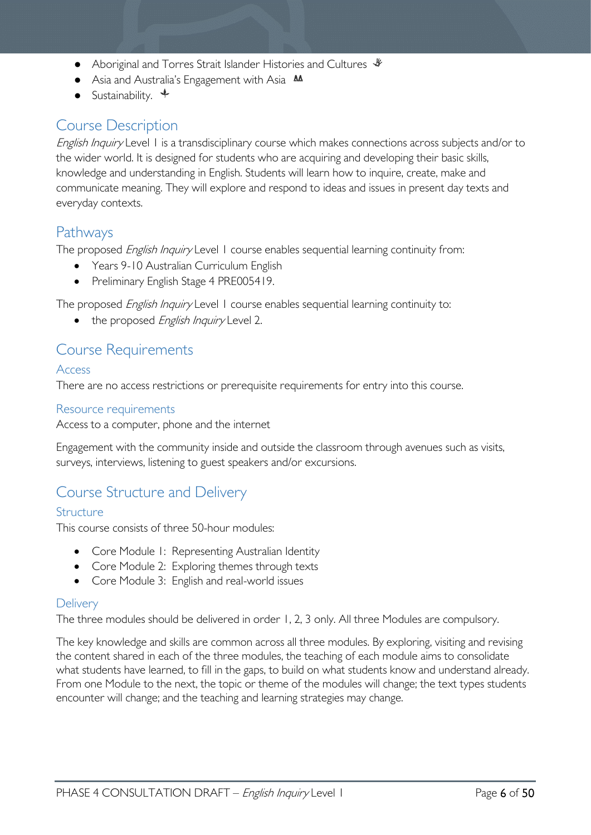- Aboriginal and Torres Strait Islander Histories and Cultures ↓
- Asia and Australia's Engagement with Asia **AA**
- Sustainability.  $\triangleleft$

## <span id="page-5-0"></span>Course Description

English Inquiry Level 1 is a transdisciplinary course which makes connections across subjects and/or to the wider world. It is designed for students who are acquiring and developing their basic skills, knowledge and understanding in English. Students will learn how to inquire, create, make and communicate meaning. They will explore and respond to ideas and issues in present day texts and everyday contexts.

### <span id="page-5-1"></span>Pathways

The proposed *English Inquiry* Level 1 course enables sequential learning continuity from:

- Years 9-10 Australian Curriculum English
- Preliminary English Stage 4 PRE005419.

The proposed *English Inquiry* Level 1 course enables sequential learning continuity to:

• the proposed English Inquiry Level 2.

### <span id="page-5-2"></span>Course Requirements

#### <span id="page-5-3"></span>Access

There are no access restrictions or prerequisite requirements for entry into this course.

#### <span id="page-5-4"></span>Resource requirements

Access to a computer, phone and the internet

Engagement with the community inside and outside the classroom through avenues such as visits, surveys, interviews, listening to guest speakers and/or excursions.

### <span id="page-5-5"></span>Course Structure and Delivery

#### <span id="page-5-6"></span>Structure

This course consists of three 50-hour modules:

- Core Module 1: Representing Australian Identity
- Core Module 2: Exploring themes through texts
- Core Module 3: English and real-world issues

#### <span id="page-5-7"></span>**Delivery**

The three modules should be delivered in order 1, 2, 3 only. All three Modules are compulsory.

The key knowledge and skills are common across all three modules. By exploring, visiting and revising the content shared in each of the three modules, the teaching of each module aims to consolidate what students have learned, to fill in the gaps, to build on what students know and understand already. From one Module to the next, the topic or theme of the modules will change; the text types students encounter will change; and the teaching and learning strategies may change.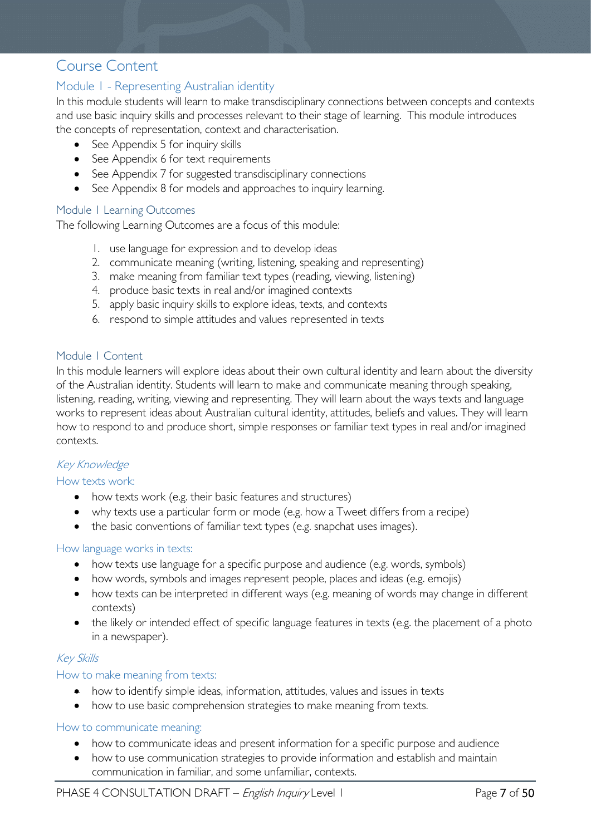### <span id="page-6-0"></span>Course Content

### <span id="page-6-1"></span>Module 1 - Representing Australian identity

In this module students will learn to make transdisciplinary connections between concepts and contexts and use basic inquiry skills and processes relevant to their stage of learning. This module introduces the concepts of representation, context and characterisation.

- See Appendix 5 for inquiry skills
- See Appendix 6 for text requirements
- See Appendix 7 for suggested transdisciplinary connections
- See Appendix 8 for models and approaches to inquiry learning.

#### <span id="page-6-2"></span>Module 1 Learning Outcomes

The following Learning Outcomes are a focus of this module:

- 1. use language for expression and to develop ideas
- 2. communicate meaning (writing, listening, speaking and representing)
- 3. make meaning from familiar text types (reading, viewing, listening)
- 4. produce basic texts in real and/or imagined contexts
- 5. apply basic inquiry skills to explore ideas, texts, and contexts
- 6. respond to simple attitudes and values represented in texts

#### <span id="page-6-3"></span>Module 1 Content

In this module learners will explore ideas about their own cultural identity and learn about the diversity of the Australian identity. Students will learn to make and communicate meaning through speaking, listening, reading, writing, viewing and representing. They will learn about the ways texts and language works to represent ideas about Australian cultural identity, attitudes, beliefs and values. They will learn how to respond to and produce short, simple responses or familiar text types in real and/or imagined contexts.

#### Key Knowledge

#### How texts work:

- how texts work (e.g. their basic features and structures)
- why texts use a particular form or mode (e.g. how a Tweet differs from a recipe)
- the basic conventions of familiar text types (e.g. snapchat uses images).

#### How language works in texts:

- how texts use language for a specific purpose and audience (e.g. words, symbols)
- how words, symbols and images represent people, places and ideas (e.g. emojis)
- how texts can be interpreted in different ways (e.g. meaning of words may change in different contexts)
- the likely or intended effect of specific language features in texts (e.g. the placement of a photo in a newspaper).

#### Key Skills

#### How to make meaning from texts:

- how to identify simple ideas, information, attitudes, values and issues in texts
- how to use basic comprehension strategies to make meaning from texts.

#### How to communicate meaning:

- how to communicate ideas and present information for a specific purpose and audience
- how to use communication strategies to provide information and establish and maintain communication in familiar, and some unfamiliar, contexts.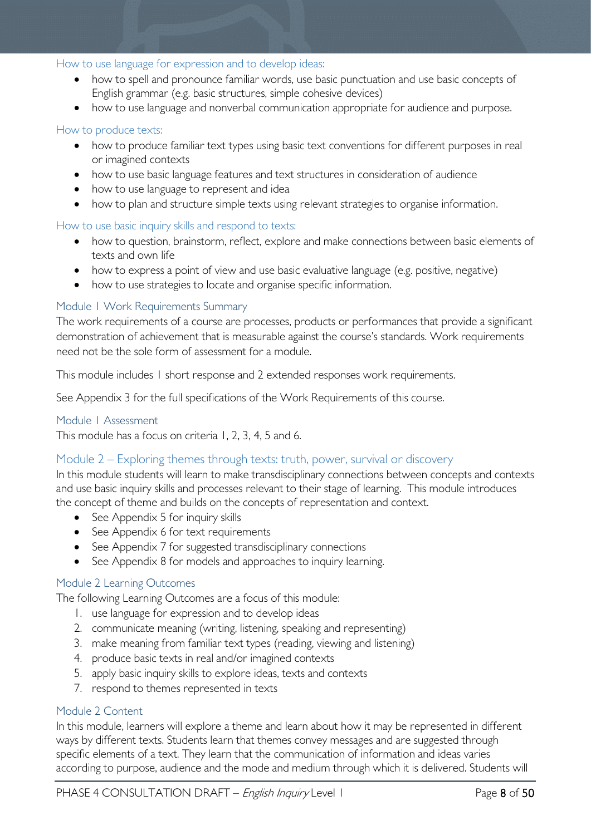#### How to use language for expression and to develop ideas:

- how to spell and pronounce familiar words, use basic punctuation and use basic concepts of English grammar (e.g. basic structures, simple cohesive devices)
- how to use language and nonverbal communication appropriate for audience and purpose.

#### How to produce texts:

- how to produce familiar text types using basic text conventions for different purposes in real or imagined contexts
- how to use basic language features and text structures in consideration of audience
- how to use language to represent and idea
- how to plan and structure simple texts using relevant strategies to organise information.

#### How to use basic inquiry skills and respond to texts:

- how to question, brainstorm, reflect, explore and make connections between basic elements of texts and own life
- how to express a point of view and use basic evaluative language (e.g. positive, negative)
- how to use strategies to locate and organise specific information.

#### <span id="page-7-0"></span>Module 1 Work Requirements Summary

The work requirements of a course are processes, products or performances that provide a significant demonstration of achievement that is measurable against the course's standards. Work requirements need not be the sole form of assessment for a module.

This module includes 1 short response and 2 extended responses work requirements.

See Appendix 3 for the full specifications of the Work Requirements of this course.

#### <span id="page-7-1"></span>Module 1 Assessment

This module has a focus on criteria 1, 2, 3, 4, 5 and 6.

#### <span id="page-7-2"></span>Module 2 – Exploring themes through texts: truth, power, survival or discovery

In this module students will learn to make transdisciplinary connections between concepts and contexts and use basic inquiry skills and processes relevant to their stage of learning. This module introduces the concept of theme and builds on the concepts of representation and context.

- See Appendix 5 for inquiry skills
- See Appendix 6 for text requirements
- See Appendix 7 for suggested transdisciplinary connections
- See Appendix 8 for models and approaches to inquiry learning.

#### <span id="page-7-3"></span>Module 2 Learning Outcomes

The following Learning Outcomes are a focus of this module:

- 1. use language for expression and to develop ideas
- 2. communicate meaning (writing, listening, speaking and representing)
- 3. make meaning from familiar text types (reading, viewing and listening)
- 4. produce basic texts in real and/or imagined contexts
- 5. apply basic inquiry skills to explore ideas, texts and contexts
- 7. respond to themes represented in texts

#### <span id="page-7-4"></span>Module 2 Content

In this module, learners will explore a theme and learn about how it may be represented in different ways by different texts. Students learn that themes convey messages and are suggested through specific elements of a text. They learn that the communication of information and ideas varies according to purpose, audience and the mode and medium through which it is delivered. Students will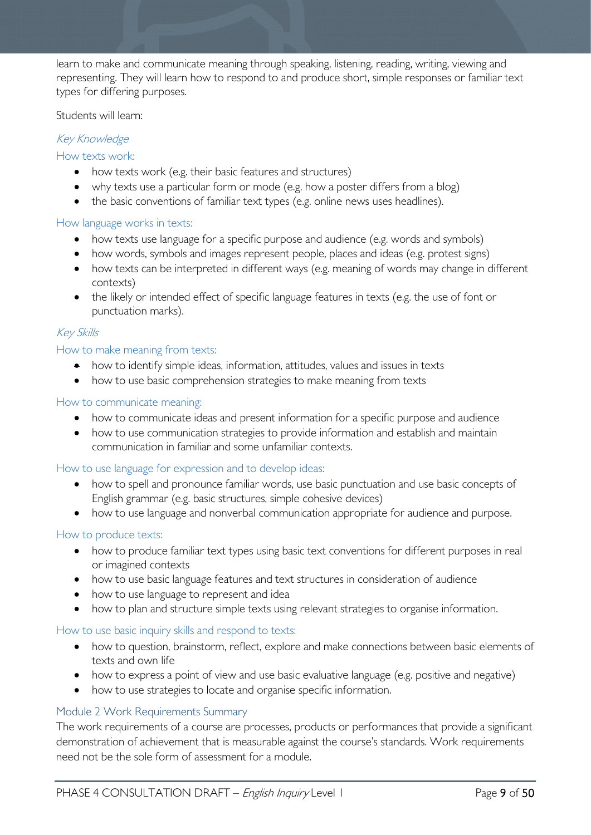learn to make and communicate meaning through speaking, listening, reading, writing, viewing and representing. They will learn how to respond to and produce short, simple responses or familiar text types for differing purposes.

Students will learn:

### Key Knowledge

#### How texts work:

- how texts work (e.g. their basic features and structures)
- why texts use a particular form or mode (e.g. how a poster differs from a blog)
- the basic conventions of familiar text types (e.g. online news uses headlines).

#### How language works in texts:

- how texts use language for a specific purpose and audience (e.g. words and symbols)
- how words, symbols and images represent people, places and ideas (e.g. protest signs)
- how texts can be interpreted in different ways (e.g. meaning of words may change in different contexts)
- the likely or intended effect of specific language features in texts (e.g. the use of font or punctuation marks).

#### Key Skills

#### How to make meaning from texts:

- how to identify simple ideas, information, attitudes, values and issues in texts
- how to use basic comprehension strategies to make meaning from texts

#### How to communicate meaning:

- how to communicate ideas and present information for a specific purpose and audience
- how to use communication strategies to provide information and establish and maintain communication in familiar and some unfamiliar contexts.

#### How to use language for expression and to develop ideas:

- how to spell and pronounce familiar words, use basic punctuation and use basic concepts of English grammar (e.g. basic structures, simple cohesive devices)
- how to use language and nonverbal communication appropriate for audience and purpose.

#### How to produce texts:

- how to produce familiar text types using basic text conventions for different purposes in real or imagined contexts
- how to use basic language features and text structures in consideration of audience
- how to use language to represent and idea
- how to plan and structure simple texts using relevant strategies to organise information.

#### How to use basic inquiry skills and respond to texts:

- how to question, brainstorm, reflect, explore and make connections between basic elements of texts and own life
- how to express a point of view and use basic evaluative language (e.g. positive and negative)
- how to use strategies to locate and organise specific information.

#### <span id="page-8-0"></span>Module 2 Work Requirements Summary

The work requirements of a course are processes, products or performances that provide a significant demonstration of achievement that is measurable against the course's standards. Work requirements need not be the sole form of assessment for a module.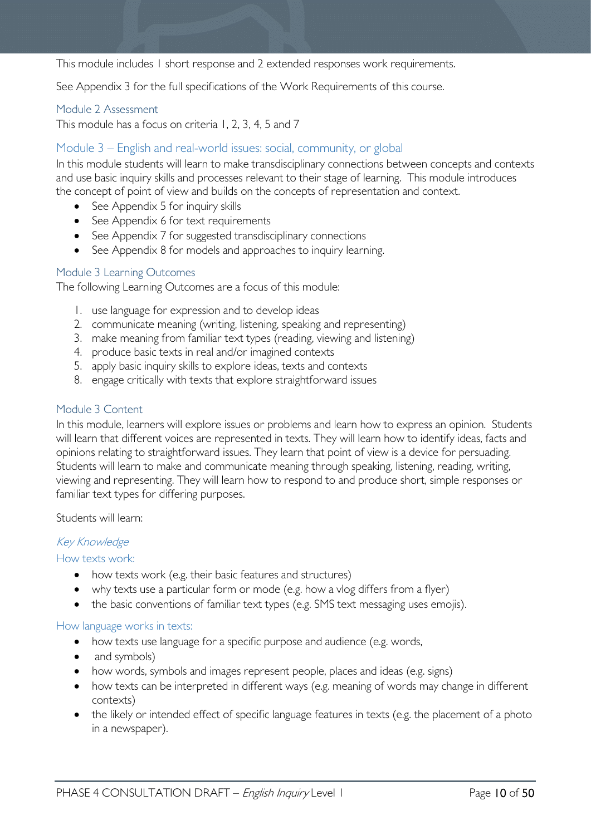This module includes 1 short response and 2 extended responses work requirements.

See Appendix 3 for the full specifications of the Work Requirements of this course.

#### <span id="page-9-0"></span>Module 2 Assessment

This module has a focus on criteria 1, 2, 3, 4, 5 and 7

### <span id="page-9-1"></span>Module 3 – English and real-world issues: social, community, or global

In this module students will learn to make transdisciplinary connections between concepts and contexts and use basic inquiry skills and processes relevant to their stage of learning. This module introduces the concept of point of view and builds on the concepts of representation and context.

- See Appendix 5 for inquiry skills
- See Appendix 6 for text requirements
- See Appendix 7 for suggested transdisciplinary connections
- See Appendix 8 for models and approaches to inquiry learning.

#### <span id="page-9-2"></span>Module 3 Learning Outcomes

The following Learning Outcomes are a focus of this module:

- 1. use language for expression and to develop ideas
- 2. communicate meaning (writing, listening, speaking and representing)
- 3. make meaning from familiar text types (reading, viewing and listening)
- 4. produce basic texts in real and/or imagined contexts
- 5. apply basic inquiry skills to explore ideas, texts and contexts
- 8. engage critically with texts that explore straightforward issues

#### <span id="page-9-3"></span>Module 3 Content

In this module, learners will explore issues or problems and learn how to express an opinion. Students will learn that different voices are represented in texts. They will learn how to identify ideas, facts and opinions relating to straightforward issues. They learn that point of view is a device for persuading. Students will learn to make and communicate meaning through speaking, listening, reading, writing, viewing and representing. They will learn how to respond to and produce short, simple responses or familiar text types for differing purposes.

Students will learn:

#### Key Knowledge

#### How texts work:

- how texts work (e.g. their basic features and structures)
- why texts use a particular form or mode (e.g. how a vlog differs from a flyer)
- the basic conventions of familiar text types (e.g. SMS text messaging uses emojis).

#### How language works in texts:

- how texts use language for a specific purpose and audience (e.g. words,
- and symbols)
- how words, symbols and images represent people, places and ideas (e.g. signs)
- how texts can be interpreted in different ways (e.g. meaning of words may change in different contexts)
- the likely or intended effect of specific language features in texts (e.g. the placement of a photo in a newspaper).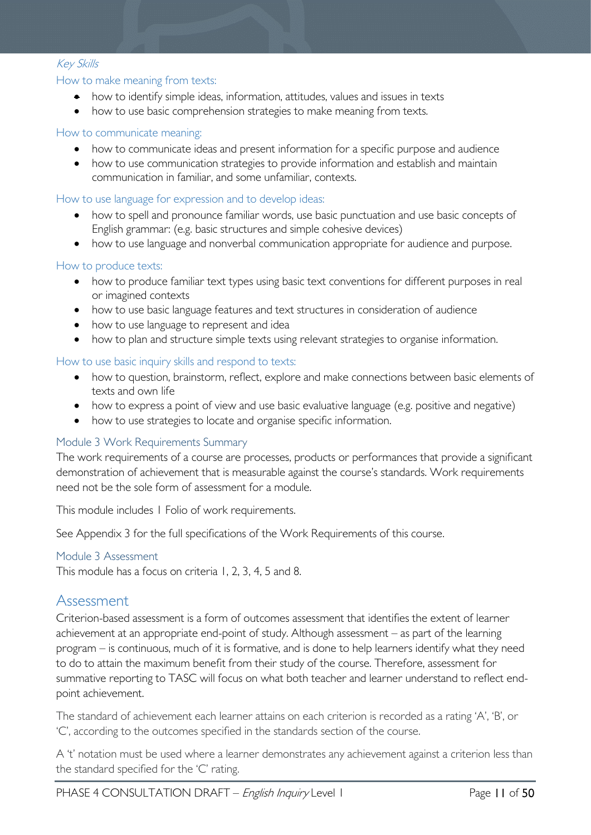#### Key Skills

#### How to make meaning from texts:

- how to identify simple ideas, information, attitudes, values and issues in texts
- how to use basic comprehension strategies to make meaning from texts.

#### How to communicate meaning:

- how to communicate ideas and present information for a specific purpose and audience
- how to use communication strategies to provide information and establish and maintain communication in familiar, and some unfamiliar, contexts.

#### How to use language for expression and to develop ideas:

- how to spell and pronounce familiar words, use basic punctuation and use basic concepts of English grammar: (e.g. basic structures and simple cohesive devices)
- how to use language and nonverbal communication appropriate for audience and purpose.

#### How to produce texts:

- how to produce familiar text types using basic text conventions for different purposes in real or imagined contexts
- how to use basic language features and text structures in consideration of audience
- how to use language to represent and idea
- how to plan and structure simple texts using relevant strategies to organise information.

#### How to use basic inquiry skills and respond to texts:

- how to question, brainstorm, reflect, explore and make connections between basic elements of texts and own life
- how to express a point of view and use basic evaluative language (e.g. positive and negative)
- how to use strategies to locate and organise specific information.

#### <span id="page-10-0"></span>Module 3 Work Requirements Summary

The work requirements of a course are processes, products or performances that provide a significant demonstration of achievement that is measurable against the course's standards. Work requirements need not be the sole form of assessment for a module.

This module includes 1 Folio of work requirements.

See Appendix 3 for the full specifications of the Work Requirements of this course.

#### <span id="page-10-1"></span>Module 3 Assessment

This module has a focus on criteria 1, 2, 3, 4, 5 and 8.

### <span id="page-10-2"></span>Assessment

Criterion-based assessment is a form of outcomes assessment that identifies the extent of learner achievement at an appropriate end-point of study. Although assessment – as part of the learning program – is continuous, much of it is formative, and is done to help learners identify what they need to do to attain the maximum benefit from their study of the course. Therefore, assessment for summative reporting to TASC will focus on what both teacher and learner understand to reflect endpoint achievement.

The standard of achievement each learner attains on each criterion is recorded as a rating 'A', 'B', or 'C', according to the outcomes specified in the standards section of the course.

A 't' notation must be used where a learner demonstrates any achievement against a criterion less than the standard specified for the 'C' rating.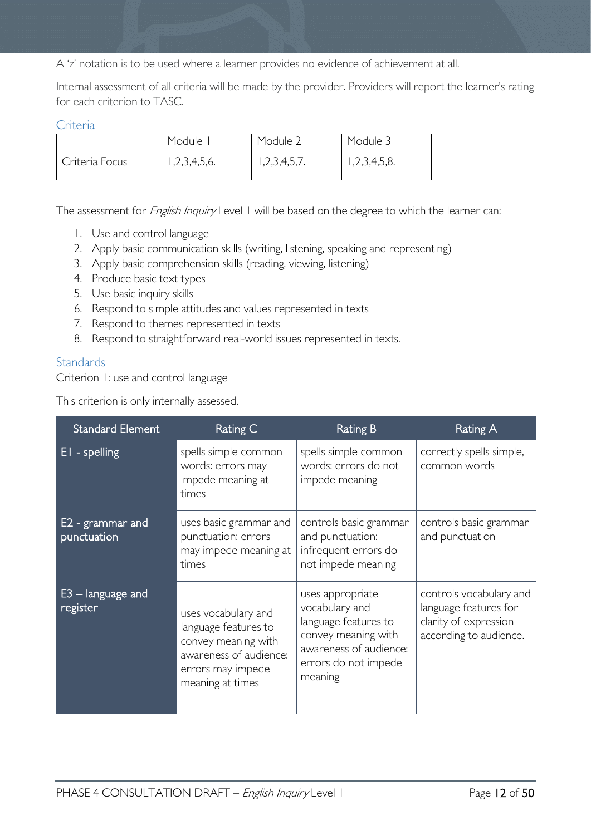A 'z' notation is to be used where a learner provides no evidence of achievement at all.

Internal assessment of all criteria will be made by the provider. Providers will report the learner's rating for each criterion to TASC.

#### <span id="page-11-0"></span>**Criteria**

|                | Module      | Module 2    | Module 3     |
|----------------|-------------|-------------|--------------|
| Criteria Focus | ,2,3,4,5,6. | ,2,3,4,5,7. | 1,2,3,4,5,8. |

The assessment for *English Inquiry* Level 1 will be based on the degree to which the learner can:

- 1. Use and control language
- 2. Apply basic communication skills (writing, listening, speaking and representing)
- 3. Apply basic comprehension skills (reading, viewing, listening)
- 4. Produce basic text types
- 5. Use basic inquiry skills
- 6. Respond to simple attitudes and values represented in texts
- 7. Respond to themes represented in texts
- 8. Respond to straightforward real-world issues represented in texts.

#### <span id="page-11-1"></span>**Standards**

Criterion 1: use and control language

| <b>Standard Element</b>         | Rating C                                                                                                                              | <b>Rating B</b>                                                                                                                                | <b>Rating A</b>                                                                                     |
|---------------------------------|---------------------------------------------------------------------------------------------------------------------------------------|------------------------------------------------------------------------------------------------------------------------------------------------|-----------------------------------------------------------------------------------------------------|
| EI - spelling                   | spells simple common<br>words: errors may<br>impede meaning at<br>times                                                               | spells simple common<br>words: errors do not<br>impede meaning                                                                                 | correctly spells simple,<br>common words                                                            |
| E2 - grammar and<br>punctuation | uses basic grammar and<br>punctuation: errors<br>may impede meaning at<br>times                                                       | controls basic grammar<br>and punctuation:<br>infrequent errors do<br>not impede meaning                                                       | controls basic grammar<br>and punctuation                                                           |
| $E3 -$ language and<br>register | uses vocabulary and<br>language features to<br>convey meaning with<br>awareness of audience:<br>errors may impede<br>meaning at times | uses appropriate<br>vocabulary and<br>language features to<br>convey meaning with<br>awareness of audience:<br>errors do not impede<br>meaning | controls vocabulary and<br>language features for<br>clarity of expression<br>according to audience. |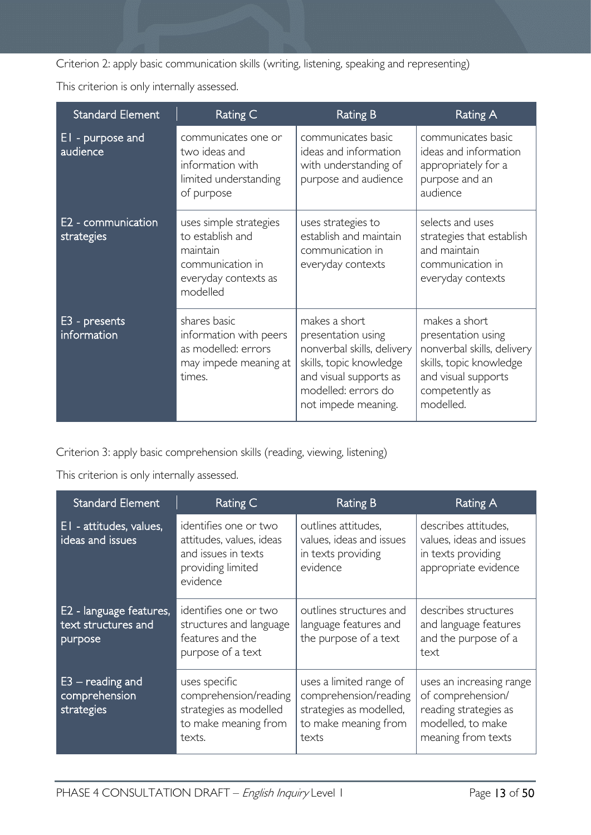Criterion 2: apply basic communication skills (writing, listening, speaking and representing)

This criterion is only internally assessed.

| <b>Standard Element</b>          | Rating C                                                                                                       | <b>Rating B</b>                                                                                                                                                      | <b>Rating A</b>                                                                                                                                    |
|----------------------------------|----------------------------------------------------------------------------------------------------------------|----------------------------------------------------------------------------------------------------------------------------------------------------------------------|----------------------------------------------------------------------------------------------------------------------------------------------------|
| EI - purpose and<br>audience     | communicates one or<br>two ideas and<br>information with<br>limited understanding<br>of purpose                | communicates basic<br>ideas and information<br>with understanding of<br>purpose and audience                                                                         | communicates basic<br>ideas and information<br>appropriately for a<br>purpose and an<br>audience                                                   |
| E2 - communication<br>strategies | uses simple strategies<br>to establish and<br>maintain<br>communication in<br>everyday contexts as<br>modelled | uses strategies to<br>establish and maintain<br>communication in<br>everyday contexts                                                                                | selects and uses<br>strategies that establish<br>and maintain<br>communication in<br>everyday contexts                                             |
| E3 - presents<br>information     | shares basic<br>information with peers<br>as modelled: errors<br>may impede meaning at<br>times.               | makes a short<br>presentation using<br>nonverbal skills, delivery<br>skills, topic knowledge<br>and visual supports as<br>modelled: errors do<br>not impede meaning. | makes a short<br>presentation using<br>nonverbal skills, delivery<br>skills, topic knowledge<br>and visual supports<br>competently as<br>modelled. |

Criterion 3: apply basic comprehension skills (reading, viewing, listening)

| <b>Standard Element</b>                                   | Rating C                                                                                                  | <b>Rating B</b>                                                                                              | Rating A                                                                                                          |
|-----------------------------------------------------------|-----------------------------------------------------------------------------------------------------------|--------------------------------------------------------------------------------------------------------------|-------------------------------------------------------------------------------------------------------------------|
| EI - attitudes, values,<br>ideas and issues               | identifies one or two<br>attitudes, values, ideas<br>and issues in texts<br>providing limited<br>evidence | outlines attitudes,<br>values, ideas and issues<br>in texts providing<br>evidence                            | describes attitudes,<br>values, ideas and issues<br>in texts providing<br>appropriate evidence                    |
| E2 - language features,<br>text structures and<br>purpose | identifies one or two<br>structures and language<br>features and the<br>purpose of a text                 | outlines structures and<br>language features and<br>the purpose of a text                                    | describes structures<br>and language features<br>and the purpose of a<br>text                                     |
| $E3$ – reading and<br>comprehension<br>strategies         | uses specific<br>comprehension/reading<br>strategies as modelled<br>to make meaning from<br>texts.        | uses a limited range of<br>comprehension/reading<br>strategies as modelled,<br>to make meaning from<br>texts | uses an increasing range<br>of comprehension/<br>reading strategies as<br>modelled, to make<br>meaning from texts |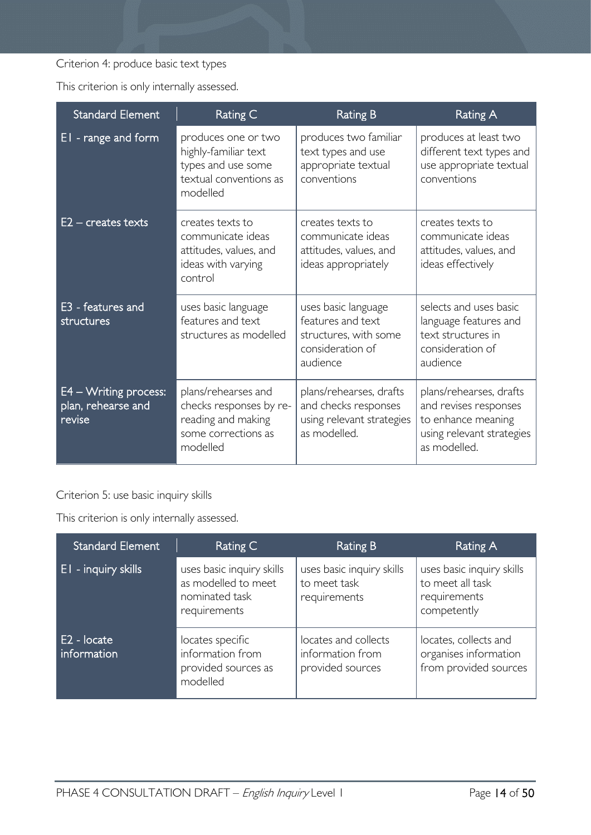### Criterion 4: produce basic text types

This criterion is only internally assessed.

| <b>Standard Element</b>                                  | Rating C                                                                                                | <b>Rating B</b>                                                                                   | <b>Rating A</b>                                                                                                     |
|----------------------------------------------------------|---------------------------------------------------------------------------------------------------------|---------------------------------------------------------------------------------------------------|---------------------------------------------------------------------------------------------------------------------|
| EI-range and form                                        | produces one or two<br>highly-familiar text<br>types and use some<br>textual conventions as<br>modelled | produces two familiar<br>text types and use<br>appropriate textual<br>conventions                 | produces at least two<br>different text types and<br>use appropriate textual<br>conventions                         |
| $E2$ – creates texts                                     | creates texts to<br>communicate ideas<br>attitudes, values, and<br>ideas with varying<br>control        | creates texts to<br>communicate ideas<br>attitudes, values, and<br>ideas appropriately            | creates texts to<br>communicate ideas<br>attitudes, values, and<br>ideas effectively                                |
| E3 - features and<br>structures                          | uses basic language<br>features and text<br>structures as modelled                                      | uses basic language<br>features and text<br>structures, with some<br>consideration of<br>audience | selects and uses basic<br>language features and<br>text structures in<br>consideration of<br>audience               |
| $E4 - W$ riting process:<br>plan, rehearse and<br>revise | plans/rehearses and<br>checks responses by re-<br>reading and making<br>some corrections as<br>modelled | plans/rehearses, drafts<br>and checks responses<br>using relevant strategies<br>as modelled.      | plans/rehearses, drafts<br>and revises responses<br>to enhance meaning<br>using relevant strategies<br>as modelled. |

### Criterion 5: use basic inquiry skills

| <b>Standard Element</b>    | Rating C                                                                           | <b>Rating B</b>                                              | <b>Rating A</b>                                                              |
|----------------------------|------------------------------------------------------------------------------------|--------------------------------------------------------------|------------------------------------------------------------------------------|
| <b>El</b> - inquiry skills | uses basic inquiry skills<br>as modelled to meet<br>nominated task<br>requirements | uses basic inquiry skills<br>to meet task<br>requirements    | uses basic inquiry skills<br>to meet all task<br>requirements<br>competently |
| E2 - locate<br>information | locates specific<br>information from<br>provided sources as<br>modelled            | locates and collects<br>information from<br>provided sources | locates, collects and<br>organises information<br>from provided sources      |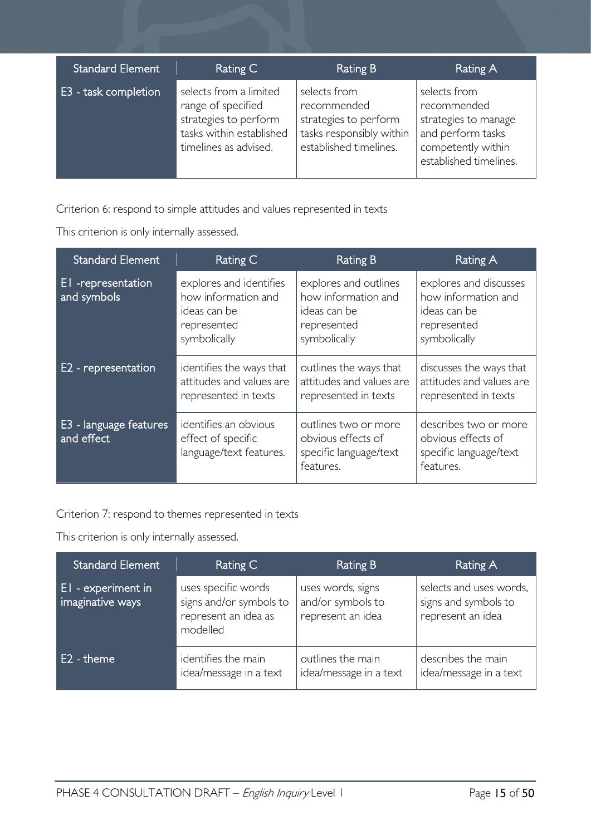| <b>Standard Element</b> | Rating C                                                                                                                   | Rating B                                                                                                   | Rating A                                                                                                                 |
|-------------------------|----------------------------------------------------------------------------------------------------------------------------|------------------------------------------------------------------------------------------------------------|--------------------------------------------------------------------------------------------------------------------------|
| E3 - task completion    | selects from a limited<br>range of specified<br>strategies to perform<br>tasks within established<br>timelines as advised. | selects from<br>recommended<br>strategies to perform<br>tasks responsibly within<br>established timelines. | selects from<br>recommended<br>strategies to manage<br>and perform tasks<br>competently within<br>established timelines. |

Criterion 6: respond to simple attitudes and values represented in texts

This criterion is only internally assessed.

| <b>Standard Element</b>              | Rating C                                                                                      | <b>Rating B</b>                                                                             | Rating A                                                                                     |
|--------------------------------------|-----------------------------------------------------------------------------------------------|---------------------------------------------------------------------------------------------|----------------------------------------------------------------------------------------------|
| EI-representation<br>and symbols     | explores and identifies<br>how information and<br>ideas can be<br>represented<br>symbolically | explores and outlines<br>how information and<br>ideas can be<br>represented<br>symbolically | explores and discusses<br>how information and<br>ideas can be<br>represented<br>symbolically |
| E2 - representation                  | identifies the ways that<br>attitudes and values are<br>represented in texts                  | outlines the ways that<br>attitudes and values are<br>represented in texts                  | discusses the ways that<br>attitudes and values are<br>represented in texts                  |
| E3 - language features<br>and effect | identifies an obvious<br>effect of specific<br>language/text features.                        | outlines two or more<br>obvious effects of<br>specific language/text<br>features.           | describes two or more<br>obvious effects of<br>specific language/text<br>features.           |

Criterion 7: respond to themes represented in texts

| <b>Standard Element</b>                | Rating C                                                                           | Rating B                                                    | Rating A                                                             |
|----------------------------------------|------------------------------------------------------------------------------------|-------------------------------------------------------------|----------------------------------------------------------------------|
| El - experiment in<br>imaginative ways | uses specific words<br>signs and/or symbols to<br>represent an idea as<br>modelled | uses words, signs<br>and/or symbols to<br>represent an idea | selects and uses words,<br>signs and symbols to<br>represent an idea |
| E2 - theme                             | identifies the main<br>idea/message in a text                                      | outlines the main<br>idea/message in a text                 | describes the main<br>idea/message in a text                         |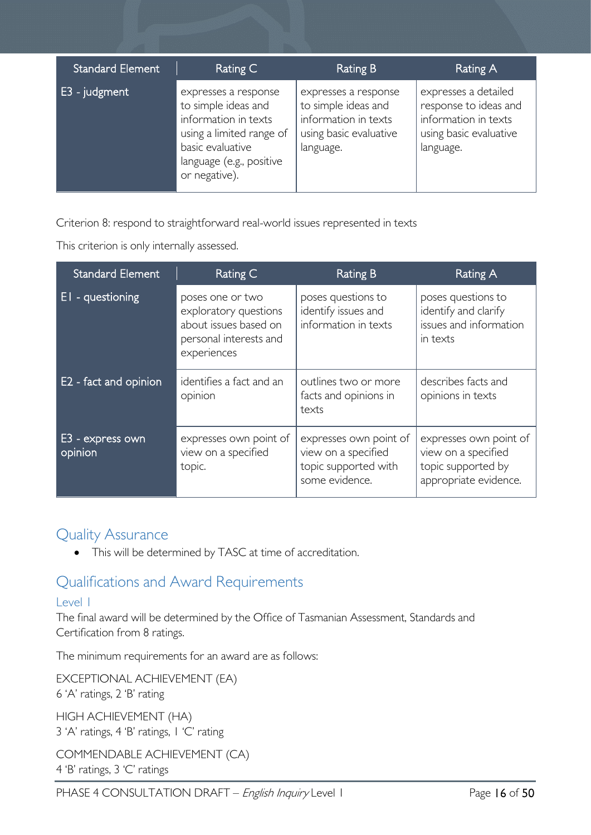| <b>Standard Element</b> | Rating C                                                                                                                                                         | Rating B                                                                                                   | Rating A                                                                                                     |
|-------------------------|------------------------------------------------------------------------------------------------------------------------------------------------------------------|------------------------------------------------------------------------------------------------------------|--------------------------------------------------------------------------------------------------------------|
| $E3$ - judgment         | expresses a response<br>to simple ideas and<br>information in texts<br>using a limited range of<br>basic evaluative<br>language (e.g., positive<br>or negative). | expresses a response<br>to simple ideas and<br>information in texts<br>using basic evaluative<br>language. | expresses a detailed<br>response to ideas and<br>information in texts<br>using basic evaluative<br>language. |

Criterion 8: respond to straightforward real-world issues represented in texts

This criterion is only internally assessed.

| <b>Standard Element</b>     | Rating C                                                                                                    | <b>Rating B</b>                                                                         | Rating A                                                                                     |
|-----------------------------|-------------------------------------------------------------------------------------------------------------|-----------------------------------------------------------------------------------------|----------------------------------------------------------------------------------------------|
| $EI - questioning$          | poses one or two<br>exploratory questions<br>about issues based on<br>personal interests and<br>experiences | poses questions to<br>identify issues and<br>information in texts                       | poses questions to<br>identify and clarify<br>issues and information<br>in texts             |
| E2 - fact and opinion       | identifies a fact and an<br>opinion                                                                         | outlines two or more<br>facts and opinions in<br>texts                                  | describes facts and<br>opinions in texts                                                     |
| E3 - express own<br>opinion | expresses own point of<br>view on a specified<br>topic.                                                     | expresses own point of<br>view on a specified<br>topic supported with<br>some evidence. | expresses own point of<br>view on a specified<br>topic supported by<br>appropriate evidence. |

### <span id="page-15-0"></span>Quality Assurance

• This will be determined by TASC at time of accreditation.

# <span id="page-15-1"></span>Qualifications and Award Requirements

### <span id="page-15-2"></span>Level 1

The final award will be determined by the Office of Tasmanian Assessment, Standards and Certification from 8 ratings.

The minimum requirements for an award are as follows:

EXCEPTIONAL ACHIEVEMENT (EA) 6 'A' ratings, 2 'B' rating

HIGH ACHIEVEMENT (HA) 3 'A' ratings, 4 'B' ratings, 1 'C' rating

COMMENDABLE ACHIEVEMENT (CA) 4 'B' ratings, 3 'C' ratings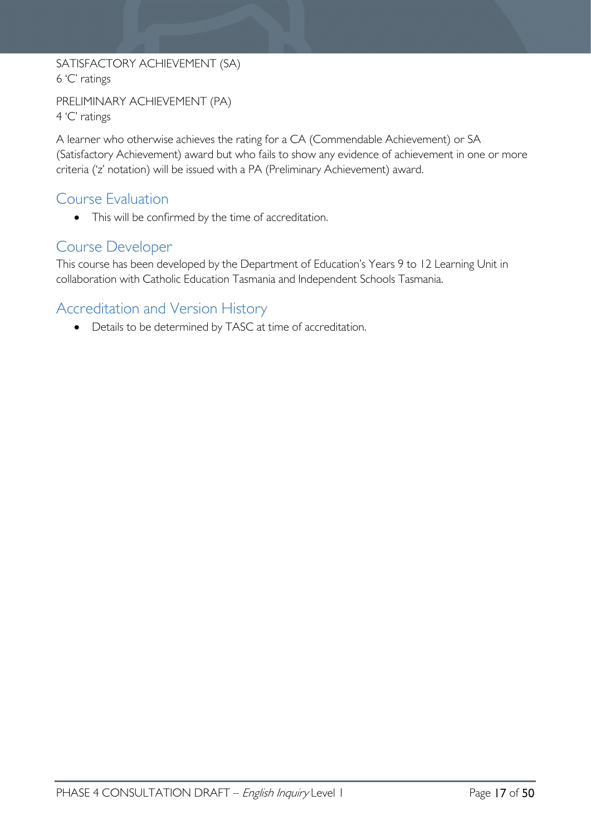SATISFACTORY ACHIEVEMENT (SA) 6 'C' ratings

```
PRELIMINARY ACHIEVEMENT (PA)
4 'C' ratings
```
A learner who otherwise achieves the rating for a CA (Commendable Achievement) or SA (Satisfactory Achievement) award but who fails to show any evidence of achievement in one or more criteria ('z' notation) will be issued with a PA (Preliminary Achievement) award.

### <span id="page-16-0"></span>Course Evaluation

• This will be confirmed by the time of accreditation.

### <span id="page-16-1"></span>Course Developer

This course has been developed by the Department of Education's Years 9 to 12 Learning Unit in collaboration with Catholic Education Tasmania and Independent Schools Tasmania.

# <span id="page-16-2"></span>Accreditation and Version History

• Details to be determined by TASC at time of accreditation.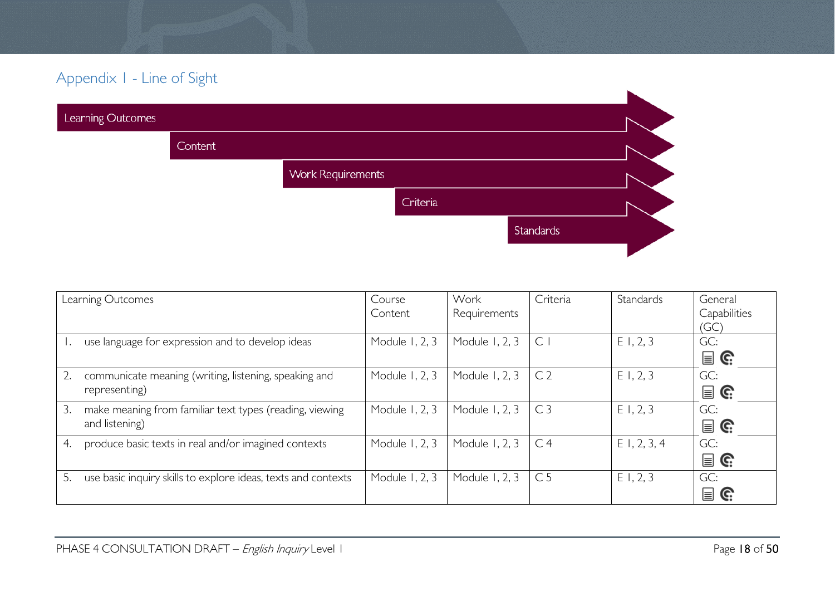# Appendix 1 - Line of Sight

| Learning Outcomes |         |                          |          |           |  |
|-------------------|---------|--------------------------|----------|-----------|--|
|                   | Content |                          |          |           |  |
|                   |         | <b>Work Requirements</b> |          |           |  |
|                   |         |                          | Criteria |           |  |
|                   |         |                          |          | Standards |  |
|                   |         |                          |          |           |  |

<span id="page-17-0"></span>

|    | Learning Outcomes                                                         | Course<br>Content | Work<br>Requirements | Criteria       | Standards      | General<br>Capabilities<br>(GC)      |
|----|---------------------------------------------------------------------------|-------------------|----------------------|----------------|----------------|--------------------------------------|
|    | use language for expression and to develop ideas                          | Module 1, 2, 3    | Module 1, 2, 3       | C              | E1, 2, 3       | GC:<br>$\mathbf{r} \in \mathbb{R}^n$ |
| 2. | communicate meaning (writing, listening, speaking and<br>representing)    | Module 1, 2, 3    | Module 1, 2, 3       | C <sub>2</sub> | E1, 2, 3       | GC:<br>$\mathbf{r} \in \mathbb{R}^n$ |
| 3. | make meaning from familiar text types (reading, viewing<br>and listening) | Module 1, 2, 3    | Module 1, 2, 3       | C <sub>3</sub> | E1, 2, 3       | GC:<br>$\blacksquare$ G:             |
| 4. | produce basic texts in real and/or imagined contexts                      | Module 1, 2, 3    | Module 1, 2, 3       | C <sub>4</sub> | $E$ 1, 2, 3, 4 | GC:<br>$\mathbf{r} \in \mathbb{C}^2$ |
| 5. | use basic inquiry skills to explore ideas, texts and contexts             | Module 1, 2, 3    | Module 1, 2, 3       | C <sub>5</sub> | E1, 2, 3       | GC:<br>$\mathbf{r}$                  |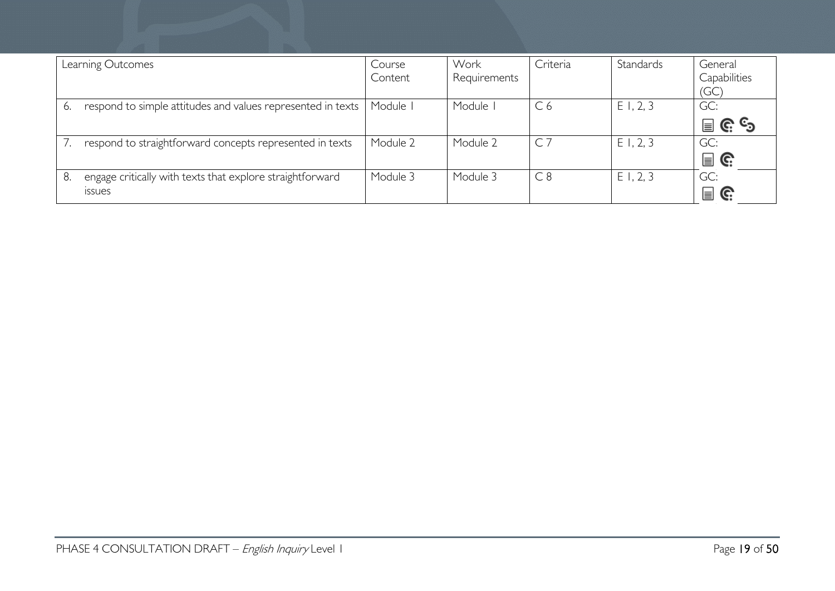|    | Learning Outcomes                                                          | Course<br>Content | Work<br>Requirements | Criteria                | Standards | General<br>Capabilities<br>(GC) |
|----|----------------------------------------------------------------------------|-------------------|----------------------|-------------------------|-----------|---------------------------------|
| 6. | respond to simple attitudes and values represented in texts                | Module I          | Module               | C <sub>6</sub>          | E1, 2, 3  | GC:<br>၉ ၆<br>冒                 |
|    | respond to straightforward concepts represented in texts                   | Module 2          | Module 2             | C <sub>7</sub>          | E1, 2, 3  | GC:<br>冒<br>G.                  |
| 8. | engage critically with texts that explore straightforward<br><b>ISSUES</b> | Module 3          | Module 3             | $\overline{\text{C}}$ 8 | E1, 2, 3  | GC:<br>冒<br>C.                  |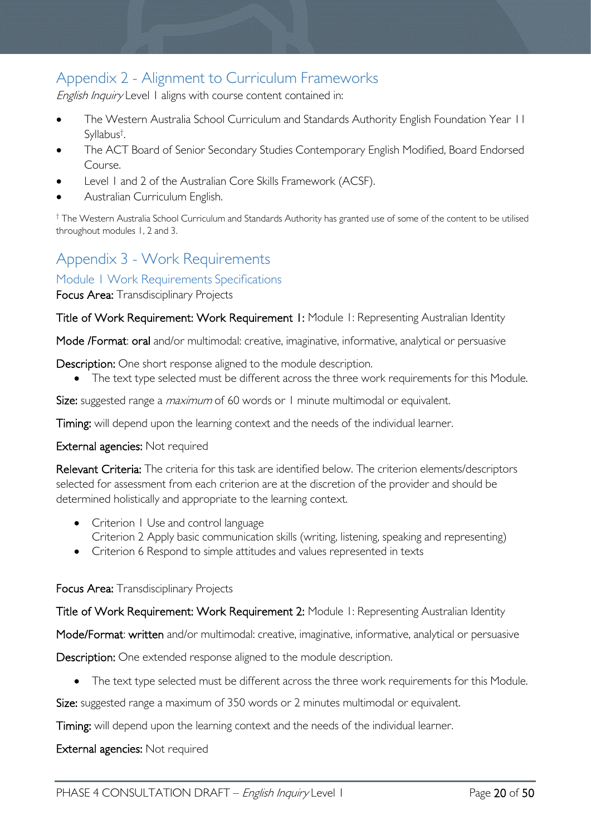# <span id="page-19-0"></span>Appendix 2 - Alignment to Curriculum Frameworks

English Inquiry Level 1 aligns with course content contained in:

- The Western Australia School Curriculum and Standards Authority English Foundation Year 11 Syllabus† .
- The ACT Board of Senior Secondary Studies Contemporary English Modified, Board Endorsed Course.
- Level 1 and 2 of the Australian Core Skills Framework (ACSF).
- Australian Curriculum English.

† The Western Australia School Curriculum and Standards Authority has granted use of some of the content to be utilised throughout modules 1, 2 and 3.

# <span id="page-19-1"></span>Appendix 3 - Work Requirements

### <span id="page-19-2"></span>Module 1 Work Requirements Specifications

Focus Area: Transdisciplinary Projects

Title of Work Requirement: Work Requirement 1: Module 1: Representing Australian Identity

Mode /Format: oral and/or multimodal: creative, imaginative, informative, analytical or persuasive

Description: One short response aligned to the module description.

• The text type selected must be different across the three work requirements for this Module.

Size: suggested range a *maximum* of 60 words or 1 minute multimodal or equivalent.

Timing: will depend upon the learning context and the needs of the individual learner.

External agencies: Not required

Relevant Criteria: The criteria for this task are identified below. The criterion elements/descriptors selected for assessment from each criterion are at the discretion of the provider and should be determined holistically and appropriate to the learning context.

- Criterion 1 Use and control language Criterion 2 Apply basic communication skills (writing, listening, speaking and representing)
- Criterion 6 Respond to simple attitudes and values represented in texts

#### Focus Area: Transdisciplinary Projects

Title of Work Requirement: Work Requirement 2: Module 1: Representing Australian Identity

Mode/Format: written and/or multimodal: creative, imaginative, informative, analytical or persuasive

Description: One extended response aligned to the module description.

• The text type selected must be different across the three work requirements for this Module.

Size: suggested range a maximum of 350 words or 2 minutes multimodal or equivalent.

Timing: will depend upon the learning context and the needs of the individual learner.

#### External agencies: Not required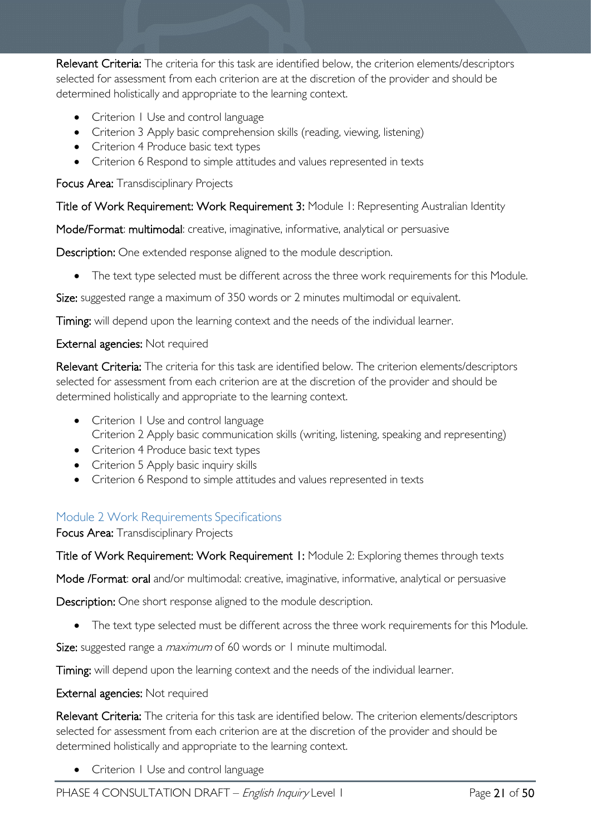Relevant Criteria: The criteria for this task are identified below, the criterion elements/descriptors selected for assessment from each criterion are at the discretion of the provider and should be determined holistically and appropriate to the learning context.

- Criterion 1 Use and control language
- Criterion 3 Apply basic comprehension skills (reading, viewing, listening)
- Criterion 4 Produce basic text types
- Criterion 6 Respond to simple attitudes and values represented in texts

Focus Area: Transdisciplinary Projects

Title of Work Requirement: Work Requirement 3: Module 1: Representing Australian Identity

Mode/Format: multimodal: creative, imaginative, informative, analytical or persuasive

Description: One extended response aligned to the module description.

• The text type selected must be different across the three work requirements for this Module.

Size: suggested range a maximum of 350 words or 2 minutes multimodal or equivalent.

Timing: will depend upon the learning context and the needs of the individual learner.

External agencies: Not required

Relevant Criteria: The criteria for this task are identified below. The criterion elements/descriptors selected for assessment from each criterion are at the discretion of the provider and should be determined holistically and appropriate to the learning context.

- Criterion 1 Use and control language Criterion 2 Apply basic communication skills (writing, listening, speaking and representing)
- Criterion 4 Produce basic text types
- Criterion 5 Apply basic inquiry skills
- Criterion 6 Respond to simple attitudes and values represented in texts

### <span id="page-20-0"></span>Module 2 Work Requirements Specifications

Focus Area: Transdisciplinary Projects

Title of Work Requirement: Work Requirement 1: Module 2: Exploring themes through texts

Mode /Format: oral and/or multimodal: creative, imaginative, informative, analytical or persuasive

Description: One short response aligned to the module description.

• The text type selected must be different across the three work requirements for this Module.

Size: suggested range a *maximum* of 60 words or 1 minute multimodal.

Timing: will depend upon the learning context and the needs of the individual learner.

#### External agencies: Not required

Relevant Criteria: The criteria for this task are identified below. The criterion elements/descriptors selected for assessment from each criterion are at the discretion of the provider and should be determined holistically and appropriate to the learning context.

• Criterion 1 Use and control language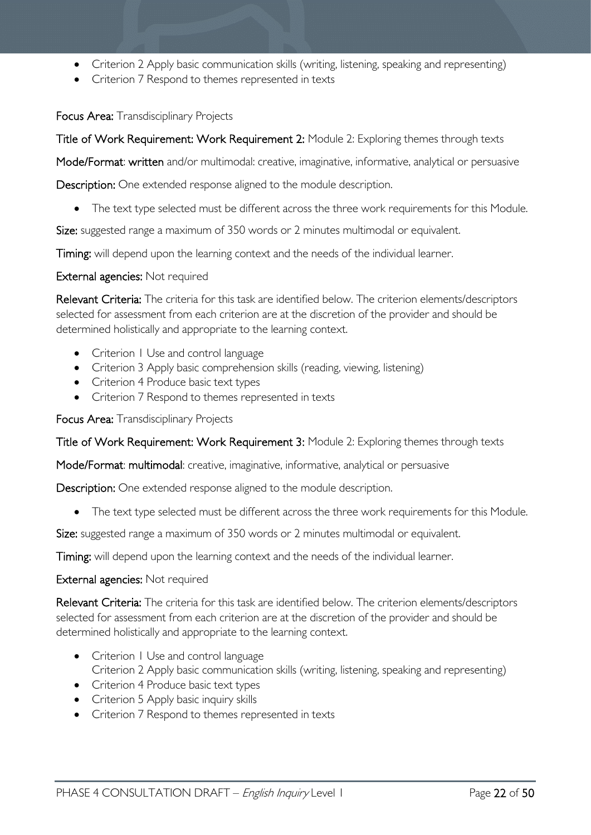- Criterion 2 Apply basic communication skills (writing, listening, speaking and representing)
- Criterion 7 Respond to themes represented in texts

Focus Area: Transdisciplinary Projects

Title of Work Requirement: Work Requirement 2: Module 2: Exploring themes through texts

Mode/Format: written and/or multimodal: creative, imaginative, informative, analytical or persuasive

Description: One extended response aligned to the module description.

• The text type selected must be different across the three work requirements for this Module.

Size: suggested range a maximum of 350 words or 2 minutes multimodal or equivalent.

Timing: will depend upon the learning context and the needs of the individual learner.

#### External agencies: Not required

Relevant Criteria: The criteria for this task are identified below. The criterion elements/descriptors selected for assessment from each criterion are at the discretion of the provider and should be determined holistically and appropriate to the learning context.

- Criterion I Use and control language
- Criterion 3 Apply basic comprehension skills (reading, viewing, listening)
- Criterion 4 Produce basic text types
- Criterion 7 Respond to themes represented in texts

Focus Area: Transdisciplinary Projects

Title of Work Requirement: Work Requirement 3: Module 2: Exploring themes through texts

Mode/Format: multimodal: creative, imaginative, informative, analytical or persuasive

Description: One extended response aligned to the module description.

• The text type selected must be different across the three work requirements for this Module.

Size: suggested range a maximum of 350 words or 2 minutes multimodal or equivalent.

Timing: will depend upon the learning context and the needs of the individual learner.

#### External agencies: Not required

Relevant Criteria: The criteria for this task are identified below. The criterion elements/descriptors selected for assessment from each criterion are at the discretion of the provider and should be determined holistically and appropriate to the learning context.

- Criterion I Use and control language Criterion 2 Apply basic communication skills (writing, listening, speaking and representing)
- Criterion 4 Produce basic text types
- Criterion 5 Apply basic inquiry skills
- Criterion 7 Respond to themes represented in texts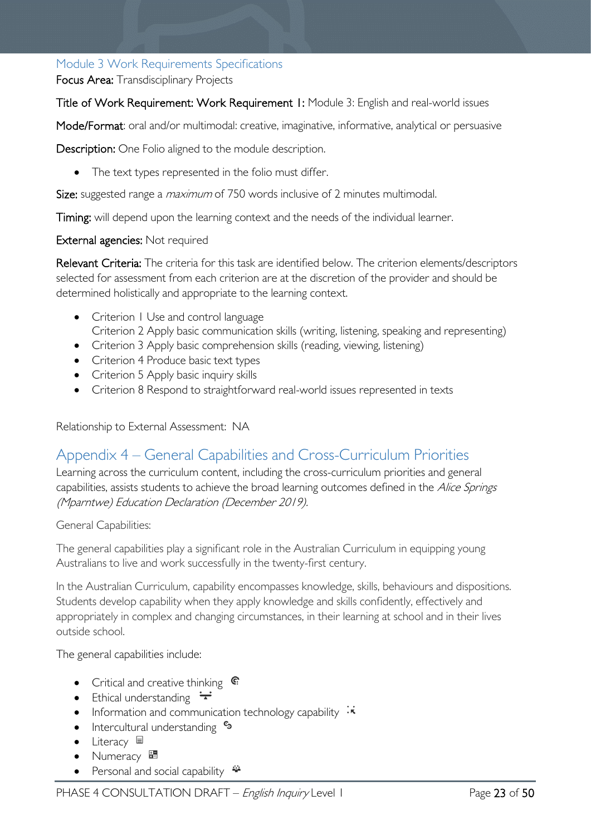### <span id="page-22-0"></span>Module 3 Work Requirements Specifications

Focus Area: Transdisciplinary Projects

Title of Work Requirement: Work Requirement 1: Module 3: English and real-world issues

Mode/Format: oral and/or multimodal: creative, imaginative, informative, analytical or persuasive

Description: One Folio aligned to the module description.

• The text types represented in the folio must differ.

Size: suggested range a *maximum* of 750 words inclusive of 2 minutes multimodal.

Timing: will depend upon the learning context and the needs of the individual learner.

#### External agencies: Not required

Relevant Criteria: The criteria for this task are identified below. The criterion elements/descriptors selected for assessment from each criterion are at the discretion of the provider and should be determined holistically and appropriate to the learning context.

- Criterion I Use and control language Criterion 2 Apply basic communication skills (writing, listening, speaking and representing)
- Criterion 3 Apply basic comprehension skills (reading, viewing, listening)
- Criterion 4 Produce basic text types
- Criterion 5 Apply basic inquiry skills
- Criterion 8 Respond to straightforward real-world issues represented in texts

<span id="page-22-1"></span>Relationship to External Assessment: NA

### Appendix 4 – General Capabilities and Cross-Curriculum Priorities

Learning across the curriculum content, including the cross-curriculum priorities and general capabilities, assists students to achieve the broad learning outcomes defined in the Alice Springs (Mparntwe) Education Declaration (December 2019).

#### General Capabilities:

The general capabilities play a significant role in the Australian Curriculum in equipping young Australians to live and work successfully in the twenty-first century.

In the Australian Curriculum, capability encompasses knowledge, skills, behaviours and dispositions. Students develop capability when they apply knowledge and skills confidently, effectively and appropriately in complex and changing circumstances, in their learning at school and in their lives outside school.

The general capabilities include:

- Critical and creative thinking  $\mathbb{C}$
- Ethical understanding  $\pm$
- Information and communication technology capability  $\cdot$
- Intercultural understanding •
- Literacy  $\blacksquare$
- Numeracy
- Personal and social capability  $\ddot{\bullet}$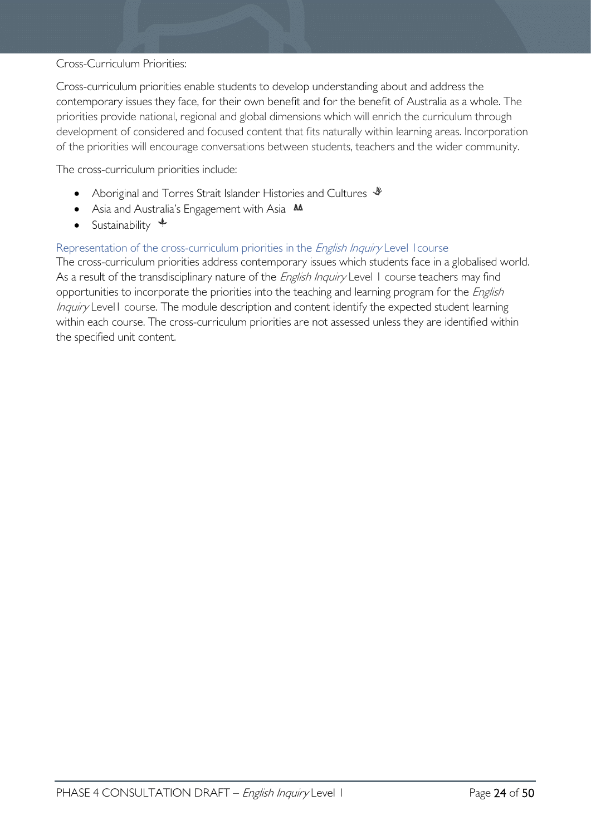#### Cross-Curriculum Priorities:

Cross-curriculum priorities enable students to develop understanding about and address the contemporary issues they face, for their own benefit and for the benefit of Australia as a whole. The priorities provide national, regional and global dimensions which will enrich the curriculum through development of considered and focused content that fits naturally within learning areas. Incorporation of the priorities will encourage conversations between students, teachers and the wider community.

The cross-curriculum priorities include:

- Aboriginal and Torres Strait Islander Histories and Cultures  $\mathcal$
- Asia and Australia's Engagement with Asia **AA**
- Sustainability  $\triangleleft$

#### Representation of the cross-curriculum priorities in the *English Inquiry* Level 1 course

The cross-curriculum priorities address contemporary issues which students face in a globalised world. As a result of the transdisciplinary nature of the *English Inquiry* Level 1 course teachers may find opportunities to incorporate the priorities into the teaching and learning program for the *English* Inquiry Levell course. The module description and content identify the expected student learning within each course. The cross-curriculum priorities are not assessed unless they are identified within the specified unit content.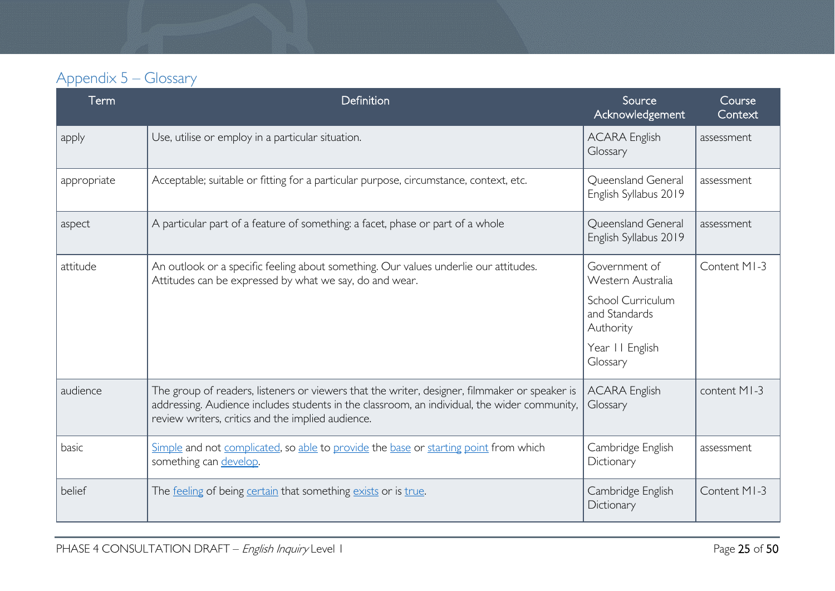# Appendix 5 – Glossary

<span id="page-24-0"></span>

| Term        | Definition                                                                                                                                                                                                                                         | Source<br>Acknowledgement                               | Course<br>Context |
|-------------|----------------------------------------------------------------------------------------------------------------------------------------------------------------------------------------------------------------------------------------------------|---------------------------------------------------------|-------------------|
| apply       | Use, utilise or employ in a particular situation.                                                                                                                                                                                                  | <b>ACARA English</b><br>Glossary                        | assessment        |
| appropriate | Acceptable; suitable or fitting for a particular purpose, circumstance, context, etc.                                                                                                                                                              | Queensland General<br>English Syllabus 2019             | assessment        |
| aspect      | A particular part of a feature of something: a facet, phase or part of a whole                                                                                                                                                                     | Queensland General<br>English Syllabus 2019             | assessment        |
| attitude    | An outlook or a specific feeling about something. Our values underlie our attitudes.<br>Attitudes can be expressed by what we say, do and wear.                                                                                                    | Government of<br>Western Australia<br>School Curriculum | Content MI-3      |
|             |                                                                                                                                                                                                                                                    | and Standards<br>Authority                              |                   |
|             |                                                                                                                                                                                                                                                    | Year II English<br>Glossary                             |                   |
| audience    | The group of readers, listeners or viewers that the writer, designer, filmmaker or speaker is<br>addressing. Audience includes students in the classroom, an individual, the wider community,<br>review writers, critics and the implied audience. | <b>ACARA English</b><br>Glossary                        | content MI-3      |
| basic       | Simple and not complicated, so able to provide the base or starting point from which<br>something can develop.                                                                                                                                     | Cambridge English<br>Dictionary                         | assessment        |
| belief      | The feeling of being certain that something exists or is true.                                                                                                                                                                                     | Cambridge English<br>Dictionary                         | Content MI-3      |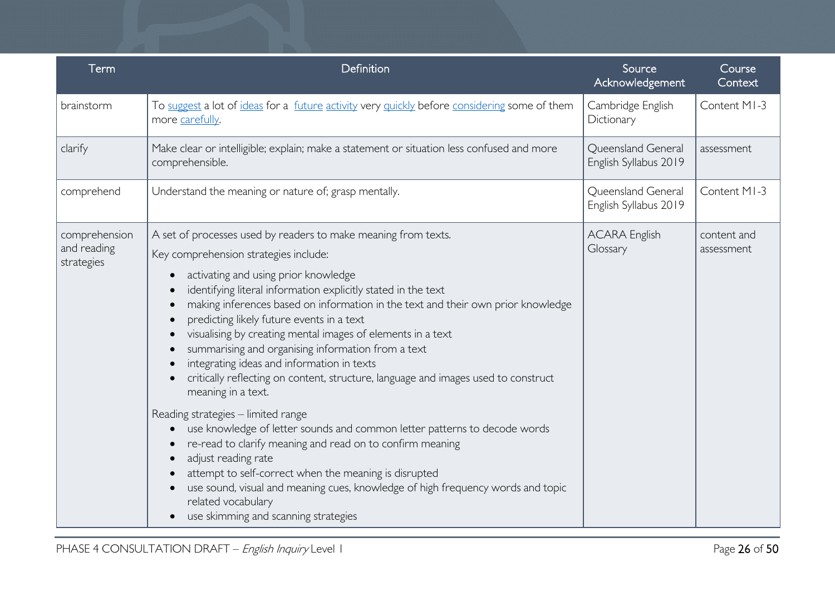| Term                                       | Definition                                                                                                                                                                                                                                                                                                                                                                                                                                                                                                                                                                                                                                                                                                                                                                                                                                                                                       | Source<br>Acknowledgement                   | Course<br>Context         |
|--------------------------------------------|--------------------------------------------------------------------------------------------------------------------------------------------------------------------------------------------------------------------------------------------------------------------------------------------------------------------------------------------------------------------------------------------------------------------------------------------------------------------------------------------------------------------------------------------------------------------------------------------------------------------------------------------------------------------------------------------------------------------------------------------------------------------------------------------------------------------------------------------------------------------------------------------------|---------------------------------------------|---------------------------|
| brainstorm                                 | To suggest a lot of ideas for a future activity very quickly before considering some of them<br>more carefully.                                                                                                                                                                                                                                                                                                                                                                                                                                                                                                                                                                                                                                                                                                                                                                                  | Cambridge English<br>Dictionary             | Content MI-3              |
| clarify                                    | Make clear or intelligible; explain; make a statement or situation less confused and more<br>comprehensible.                                                                                                                                                                                                                                                                                                                                                                                                                                                                                                                                                                                                                                                                                                                                                                                     | Queensland General<br>English Syllabus 2019 | assessment                |
| comprehend                                 | Understand the meaning or nature of; grasp mentally.                                                                                                                                                                                                                                                                                                                                                                                                                                                                                                                                                                                                                                                                                                                                                                                                                                             | Queensland General<br>English Syllabus 2019 | Content MI-3              |
| comprehension<br>and reading<br>strategies | A set of processes used by readers to make meaning from texts.<br>Key comprehension strategies include:<br>activating and using prior knowledge<br>identifying literal information explicitly stated in the text<br>making inferences based on information in the text and their own prior knowledge<br>predicting likely future events in a text<br>visualising by creating mental images of elements in a text<br>summarising and organising information from a text<br>integrating ideas and information in texts<br>critically reflecting on content, structure, language and images used to construct<br>meaning in a text.<br>Reading strategies - limited range<br>use knowledge of letter sounds and common letter patterns to decode words<br>re-read to clarify meaning and read on to confirm meaning<br>adjust reading rate<br>attempt to self-correct when the meaning is disrupted | <b>ACARA English</b><br>Glossary            | content and<br>assessment |
|                                            | use sound, visual and meaning cues, knowledge of high frequency words and topic<br>related vocabulary<br>use skimming and scanning strategies                                                                                                                                                                                                                                                                                                                                                                                                                                                                                                                                                                                                                                                                                                                                                    |                                             |                           |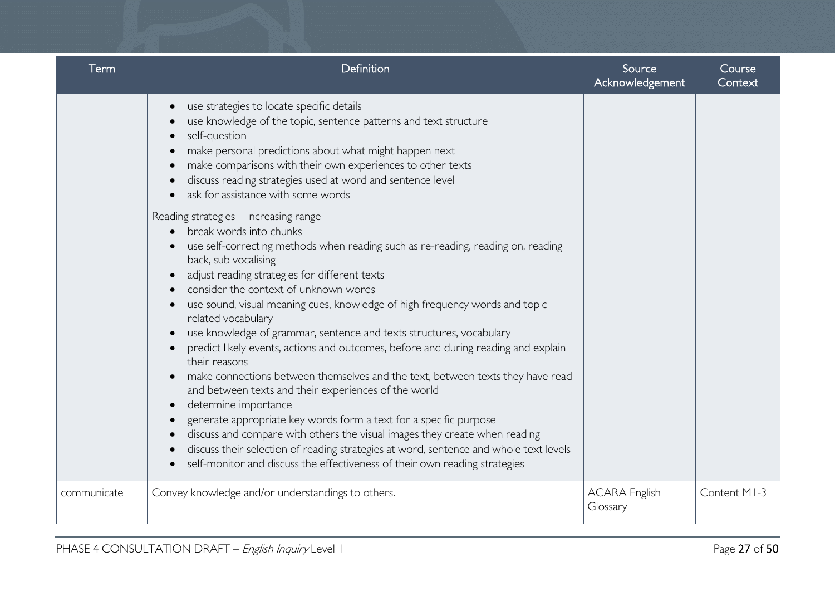| <b>Term</b> | Definition                                                                                                                                                                                                                                                                                                                                                                                                                                                                                                                                                                                                                                                                                                                                                                                                                                                                                                                                                                                                                                                                                                | Source<br>Acknowledgement        | Course<br>Context |
|-------------|-----------------------------------------------------------------------------------------------------------------------------------------------------------------------------------------------------------------------------------------------------------------------------------------------------------------------------------------------------------------------------------------------------------------------------------------------------------------------------------------------------------------------------------------------------------------------------------------------------------------------------------------------------------------------------------------------------------------------------------------------------------------------------------------------------------------------------------------------------------------------------------------------------------------------------------------------------------------------------------------------------------------------------------------------------------------------------------------------------------|----------------------------------|-------------------|
|             | use strategies to locate specific details<br>$\bullet$<br>use knowledge of the topic, sentence patterns and text structure<br>self-question<br>make personal predictions about what might happen next<br>make comparisons with their own experiences to other texts<br>discuss reading strategies used at word and sentence level<br>ask for assistance with some words<br>$\bullet$                                                                                                                                                                                                                                                                                                                                                                                                                                                                                                                                                                                                                                                                                                                      |                                  |                   |
|             | Reading strategies - increasing range<br>break words into chunks<br>$\bullet$<br>use self-correcting methods when reading such as re-reading, reading on, reading<br>back, sub vocalising<br>adjust reading strategies for different texts<br>consider the context of unknown words<br>use sound, visual meaning cues, knowledge of high frequency words and topic<br>related vocabulary<br>use knowledge of grammar, sentence and texts structures, vocabulary<br>predict likely events, actions and outcomes, before and during reading and explain<br>their reasons<br>make connections between themselves and the text, between texts they have read<br>and between texts and their experiences of the world<br>determine importance<br>$\bullet$<br>generate appropriate key words form a text for a specific purpose<br>$\bullet$<br>discuss and compare with others the visual images they create when reading<br>$\bullet$<br>discuss their selection of reading strategies at word, sentence and whole text levels<br>self-monitor and discuss the effectiveness of their own reading strategies |                                  |                   |
| communicate | Convey knowledge and/or understandings to others.                                                                                                                                                                                                                                                                                                                                                                                                                                                                                                                                                                                                                                                                                                                                                                                                                                                                                                                                                                                                                                                         | <b>ACARA English</b><br>Glossary | Content MI-3      |
|             |                                                                                                                                                                                                                                                                                                                                                                                                                                                                                                                                                                                                                                                                                                                                                                                                                                                                                                                                                                                                                                                                                                           |                                  |                   |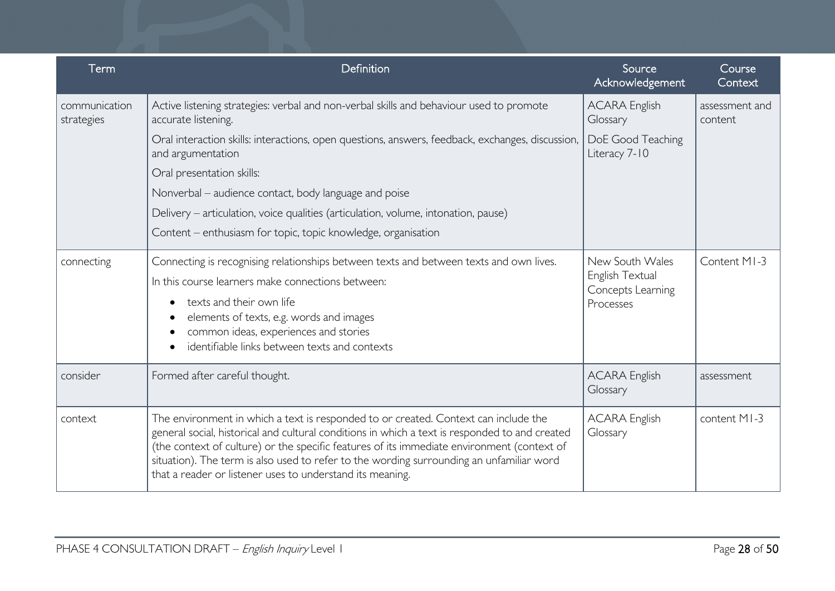| Term                        | Definition                                                                                                                                                                                                                                                                                                                                                                                                                                   | Source<br>Acknowledgement                                            | Course<br>Context         |
|-----------------------------|----------------------------------------------------------------------------------------------------------------------------------------------------------------------------------------------------------------------------------------------------------------------------------------------------------------------------------------------------------------------------------------------------------------------------------------------|----------------------------------------------------------------------|---------------------------|
| communication<br>strategies | Active listening strategies: verbal and non-verbal skills and behaviour used to promote<br>accurate listening.                                                                                                                                                                                                                                                                                                                               | <b>ACARA English</b><br>Glossary                                     | assessment and<br>content |
|                             | Oral interaction skills: interactions, open questions, answers, feedback, exchanges, discussion,<br>and argumentation                                                                                                                                                                                                                                                                                                                        | DoE Good Teaching<br>Literacy 7-10                                   |                           |
|                             | Oral presentation skills:                                                                                                                                                                                                                                                                                                                                                                                                                    |                                                                      |                           |
|                             | Nonverbal – audience contact, body language and poise                                                                                                                                                                                                                                                                                                                                                                                        |                                                                      |                           |
|                             | Delivery – articulation, voice qualities (articulation, volume, intonation, pause)                                                                                                                                                                                                                                                                                                                                                           |                                                                      |                           |
|                             | Content – enthusiasm for topic, topic knowledge, organisation                                                                                                                                                                                                                                                                                                                                                                                |                                                                      |                           |
| connecting                  | Connecting is recognising relationships between texts and between texts and own lives.                                                                                                                                                                                                                                                                                                                                                       | New South Wales<br>English Textual<br>Concepts Learning<br>Processes | Content MI-3              |
|                             | In this course learners make connections between:                                                                                                                                                                                                                                                                                                                                                                                            |                                                                      |                           |
|                             | texts and their own life                                                                                                                                                                                                                                                                                                                                                                                                                     |                                                                      |                           |
|                             | elements of texts, e.g. words and images                                                                                                                                                                                                                                                                                                                                                                                                     |                                                                      |                           |
|                             | common ideas, experiences and stories<br>identifiable links between texts and contexts                                                                                                                                                                                                                                                                                                                                                       |                                                                      |                           |
| consider                    | Formed after careful thought.                                                                                                                                                                                                                                                                                                                                                                                                                | <b>ACARA English</b><br>Glossary                                     | assessment                |
| context                     | The environment in which a text is responded to or created. Context can include the<br>general social, historical and cultural conditions in which a text is responded to and created<br>(the context of culture) or the specific features of its immediate environment (context of<br>situation). The term is also used to refer to the wording surrounding an unfamiliar word<br>that a reader or listener uses to understand its meaning. | <b>ACARA English</b><br>Glossary                                     | content MI-3              |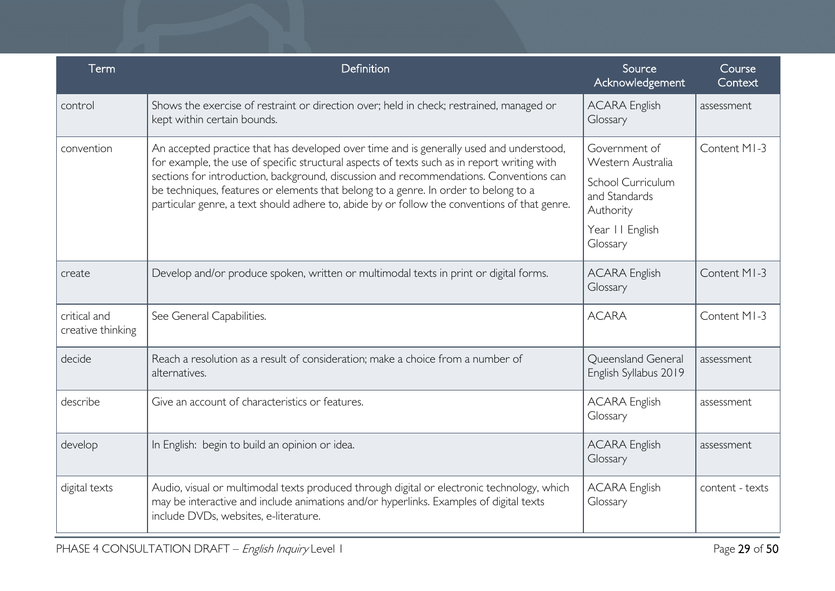| Term                              | Definition                                                                                                                                                                                                                                                                                                                                                                                                                                                              | Source<br>Acknowledgement                                                                                | Course<br>Context |
|-----------------------------------|-------------------------------------------------------------------------------------------------------------------------------------------------------------------------------------------------------------------------------------------------------------------------------------------------------------------------------------------------------------------------------------------------------------------------------------------------------------------------|----------------------------------------------------------------------------------------------------------|-------------------|
| control                           | Shows the exercise of restraint or direction over; held in check; restrained, managed or<br>kept within certain bounds.                                                                                                                                                                                                                                                                                                                                                 | <b>ACARA English</b><br>Glossary                                                                         | assessment        |
| convention                        | An accepted practice that has developed over time and is generally used and understood,<br>for example, the use of specific structural aspects of texts such as in report writing with<br>sections for introduction, background, discussion and recommendations. Conventions can<br>be techniques, features or elements that belong to a genre. In order to belong to a<br>particular genre, a text should adhere to, abide by or follow the conventions of that genre. | Government of<br>Western Australia<br>School Curriculum<br>and Standards<br>Authority<br>Year II English | Content MI-3      |
| create                            | Develop and/or produce spoken, written or multimodal texts in print or digital forms.                                                                                                                                                                                                                                                                                                                                                                                   | Glossary<br><b>ACARA English</b><br>Glossary                                                             | Content MI-3      |
| critical and<br>creative thinking | See General Capabilities.                                                                                                                                                                                                                                                                                                                                                                                                                                               | <b>ACARA</b>                                                                                             | Content MI-3      |
| decide                            | Reach a resolution as a result of consideration; make a choice from a number of<br>alternatives.                                                                                                                                                                                                                                                                                                                                                                        | Queensland General<br>English Syllabus 2019                                                              | assessment        |
| describe                          | Give an account of characteristics or features.                                                                                                                                                                                                                                                                                                                                                                                                                         | <b>ACARA English</b><br>Glossary                                                                         | assessment        |
| develop                           | In English: begin to build an opinion or idea.                                                                                                                                                                                                                                                                                                                                                                                                                          | <b>ACARA English</b><br>Glossary                                                                         | assessment        |
| digital texts                     | Audio, visual or multimodal texts produced through digital or electronic technology, which<br>may be interactive and include animations and/or hyperlinks. Examples of digital texts<br>include DVDs, websites, e-literature.                                                                                                                                                                                                                                           | <b>ACARA English</b><br>Glossary                                                                         | content - texts   |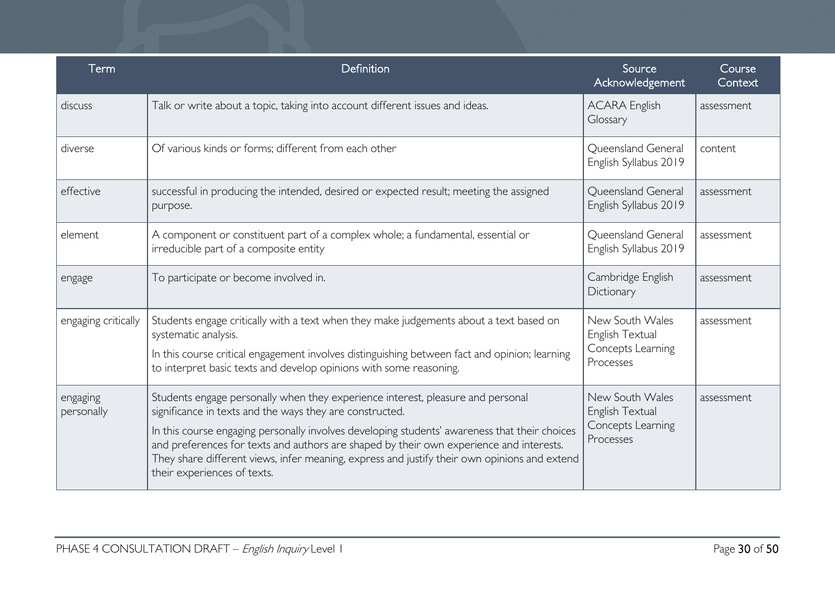| Term                   | Definition                                                                                                                                                                                                                                                                                                                                                                                                                                                             | Source<br>Acknowledgement                                            | Course<br>Context |
|------------------------|------------------------------------------------------------------------------------------------------------------------------------------------------------------------------------------------------------------------------------------------------------------------------------------------------------------------------------------------------------------------------------------------------------------------------------------------------------------------|----------------------------------------------------------------------|-------------------|
| discuss                | Talk or write about a topic, taking into account different issues and ideas.                                                                                                                                                                                                                                                                                                                                                                                           | <b>ACARA English</b><br>Glossary                                     | assessment        |
| diverse                | Of various kinds or forms; different from each other                                                                                                                                                                                                                                                                                                                                                                                                                   | Queensland General<br>English Syllabus 2019                          | content           |
| effective              | successful in producing the intended, desired or expected result; meeting the assigned<br>purpose.                                                                                                                                                                                                                                                                                                                                                                     | Queensland General<br>English Syllabus 2019                          | assessment        |
| element                | A component or constituent part of a complex whole; a fundamental, essential or<br>irreducible part of a composite entity                                                                                                                                                                                                                                                                                                                                              | Queensland General<br>English Syllabus 2019                          | assessment        |
| engage                 | To participate or become involved in.                                                                                                                                                                                                                                                                                                                                                                                                                                  | Cambridge English<br>Dictionary                                      | assessment        |
| engaging critically    | Students engage critically with a text when they make judgements about a text based on<br>systematic analysis.<br>In this course critical engagement involves distinguishing between fact and opinion; learning<br>to interpret basic texts and develop opinions with some reasoning.                                                                                                                                                                                  | New South Wales<br>English Textual<br>Concepts Learning<br>Processes | assessment        |
| engaging<br>personally | Students engage personally when they experience interest, pleasure and personal<br>significance in texts and the ways they are constructed.<br>In this course engaging personally involves developing students' awareness that their choices<br>and preferences for texts and authors are shaped by their own experience and interests.<br>They share different views, infer meaning, express and justify their own opinions and extend<br>their experiences of texts. | New South Wales<br>English Textual<br>Concepts Learning<br>Processes | assessment        |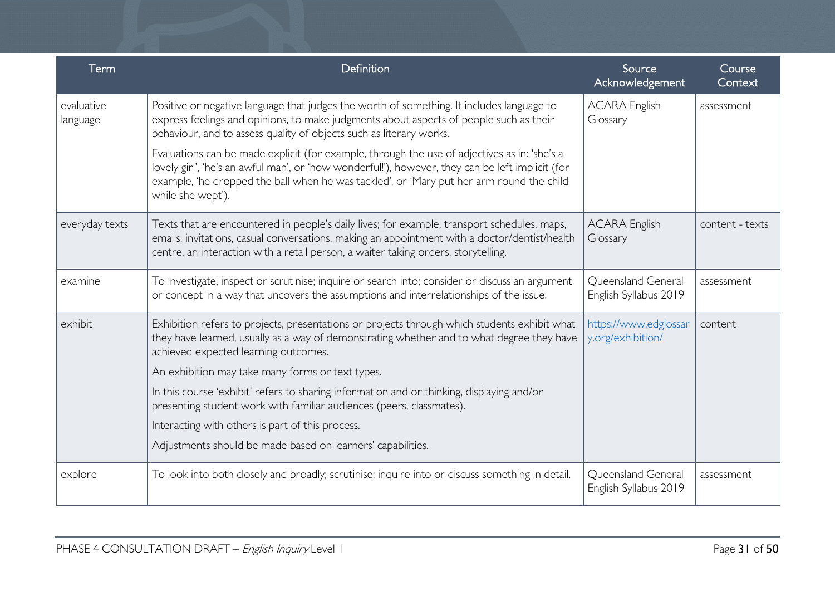| Term                   | Definition                                                                                                                                                                                                                                                                                                        | Source<br>Acknowledgement                   | Course<br>Context |
|------------------------|-------------------------------------------------------------------------------------------------------------------------------------------------------------------------------------------------------------------------------------------------------------------------------------------------------------------|---------------------------------------------|-------------------|
| evaluative<br>language | Positive or negative language that judges the worth of something. It includes language to<br>express feelings and opinions, to make judgments about aspects of people such as their<br>behaviour, and to assess quality of objects such as literary works.                                                        | <b>ACARA English</b><br>Glossary            | assessment        |
|                        | Evaluations can be made explicit (for example, through the use of adjectives as in: 'she's a<br>lovely girl', 'he's an awful man', or 'how wonderful!'), however, they can be left implicit (for<br>example, 'he dropped the ball when he was tackled', or 'Mary put her arm round the child<br>while she wept'). |                                             |                   |
| everyday texts         | Texts that are encountered in people's daily lives; for example, transport schedules, maps,<br>emails, invitations, casual conversations, making an appointment with a doctor/dentist/health<br>centre, an interaction with a retail person, a waiter taking orders, storytelling.                                | <b>ACARA English</b><br>Glossary            | content - texts   |
| examine                | To investigate, inspect or scrutinise; inquire or search into; consider or discuss an argument<br>or concept in a way that uncovers the assumptions and interrelationships of the issue.                                                                                                                          | Queensland General<br>English Syllabus 2019 | assessment        |
| exhibit                | Exhibition refers to projects, presentations or projects through which students exhibit what<br>they have learned, usually as a way of demonstrating whether and to what degree they have<br>achieved expected learning outcomes.                                                                                 | https://www.edglossar<br>y.org/exhibition/  | content           |
|                        | An exhibition may take many forms or text types.                                                                                                                                                                                                                                                                  |                                             |                   |
|                        | In this course 'exhibit' refers to sharing information and or thinking, displaying and/or<br>presenting student work with familiar audiences (peers, classmates).                                                                                                                                                 |                                             |                   |
|                        | Interacting with others is part of this process.                                                                                                                                                                                                                                                                  |                                             |                   |
|                        | Adjustments should be made based on learners' capabilities.                                                                                                                                                                                                                                                       |                                             |                   |
| explore                | To look into both closely and broadly; scrutinise; inquire into or discuss something in detail.                                                                                                                                                                                                                   | Queensland General<br>English Syllabus 2019 | assessment        |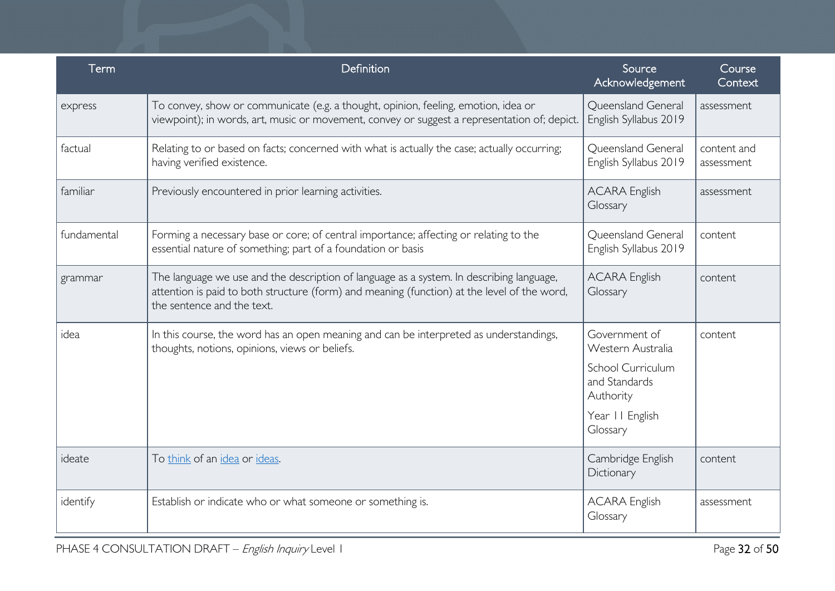| Term        | Definition                                                                                                                                                                                                            | Source<br>Acknowledgement                                                                                            | Course<br>Context         |
|-------------|-----------------------------------------------------------------------------------------------------------------------------------------------------------------------------------------------------------------------|----------------------------------------------------------------------------------------------------------------------|---------------------------|
| express     | To convey, show or communicate (e.g. a thought, opinion, feeling, emotion, idea or<br>viewpoint); in words, art, music or movement, convey or suggest a representation of; depict.                                    | Queensland General<br>English Syllabus 2019                                                                          | assessment                |
| factual     | Relating to or based on facts; concerned with what is actually the case; actually occurring;<br>having verified existence.                                                                                            | Queensland General<br>English Syllabus 2019                                                                          | content and<br>assessment |
| familiar    | Previously encountered in prior learning activities.                                                                                                                                                                  | <b>ACARA English</b><br>Glossary                                                                                     | assessment                |
| fundamental | Forming a necessary base or core; of central importance; affecting or relating to the<br>essential nature of something; part of a foundation or basis                                                                 | Queensland General<br>English Syllabus 2019                                                                          | content                   |
| grammar     | The language we use and the description of language as a system. In describing language,<br>attention is paid to both structure (form) and meaning (function) at the level of the word,<br>the sentence and the text. | <b>ACARA English</b><br>Glossary                                                                                     | content                   |
| idea        | In this course, the word has an open meaning and can be interpreted as understandings,<br>thoughts, notions, opinions, views or beliefs.                                                                              | Government of<br>Western Australia<br>School Curriculum<br>and Standards<br>Authority<br>Year II English<br>Glossary | content                   |
| ideate      | To think of an idea or ideas.                                                                                                                                                                                         | Cambridge English<br>Dictionary                                                                                      | content                   |
| identify    | Establish or indicate who or what someone or something is.                                                                                                                                                            | <b>ACARA English</b><br>Glossary                                                                                     | assessment                |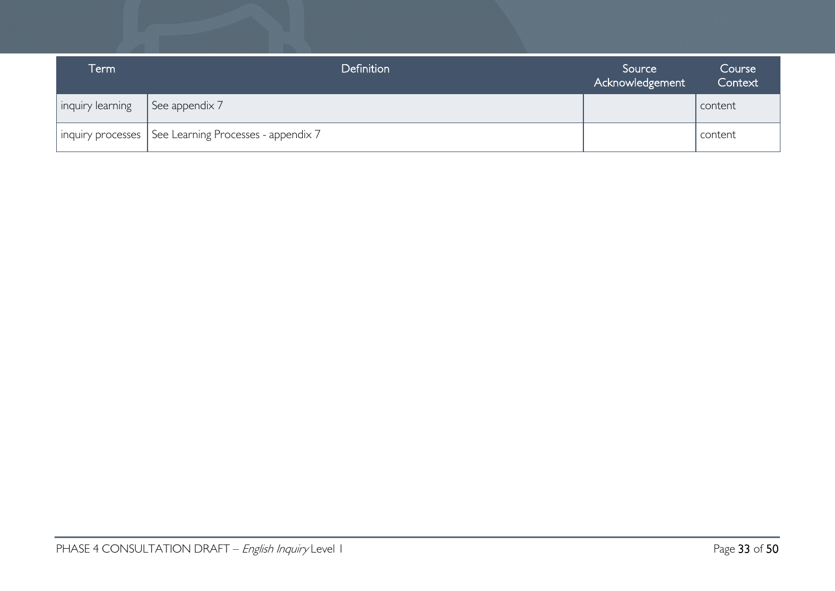| Term             | <b>Definition</b>                                       | Source<br>Acknowledgement | Course<br>Context |
|------------------|---------------------------------------------------------|---------------------------|-------------------|
| inquiry learning | See appendix 7                                          |                           | content           |
|                  | inquiry processes   See Learning Processes - appendix 7 |                           | content           |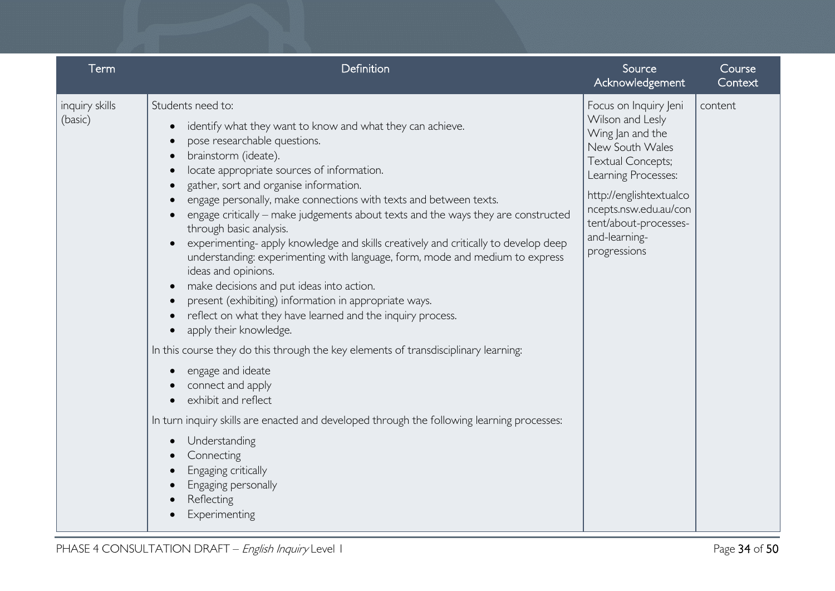| Term                      | Definition                                                                                                                                                                                                                                                                                                                                                                                                                                                                                                                                                                                                                                                                                                                                                                                                                                                                                                                                                                                                                                                                                                                                                                                      | Source<br>Acknowledgement                                                                                                                                                                                                                         | Course<br>Context |
|---------------------------|-------------------------------------------------------------------------------------------------------------------------------------------------------------------------------------------------------------------------------------------------------------------------------------------------------------------------------------------------------------------------------------------------------------------------------------------------------------------------------------------------------------------------------------------------------------------------------------------------------------------------------------------------------------------------------------------------------------------------------------------------------------------------------------------------------------------------------------------------------------------------------------------------------------------------------------------------------------------------------------------------------------------------------------------------------------------------------------------------------------------------------------------------------------------------------------------------|---------------------------------------------------------------------------------------------------------------------------------------------------------------------------------------------------------------------------------------------------|-------------------|
| inquiry skills<br>(basic) | Students need to:<br>identify what they want to know and what they can achieve.<br>pose researchable questions.<br>brainstorm (ideate).<br>locate appropriate sources of information.<br>gather, sort and organise information.<br>engage personally, make connections with texts and between texts.<br>engage critically – make judgements about texts and the ways they are constructed<br>through basic analysis.<br>experimenting- apply knowledge and skills creatively and critically to develop deep<br>understanding: experimenting with language, form, mode and medium to express<br>ideas and opinions.<br>make decisions and put ideas into action.<br>present (exhibiting) information in appropriate ways.<br>reflect on what they have learned and the inquiry process.<br>apply their knowledge.<br>In this course they do this through the key elements of transdisciplinary learning:<br>engage and ideate<br>connect and apply<br>exhibit and reflect<br>In turn inquiry skills are enacted and developed through the following learning processes:<br>Understanding<br>$\bullet$<br>Connecting<br>Engaging critically<br>Engaging personally<br>Reflecting<br>Experimenting | Focus on Inquiry Jeni<br>Wilson and Lesly<br>Wing Jan and the<br>New South Wales<br><b>Textual Concepts;</b><br>Learning Processes:<br>http://englishtextualco<br>ncepts.nsw.edu.au/con<br>tent/about-processes-<br>and-learning-<br>progressions | content           |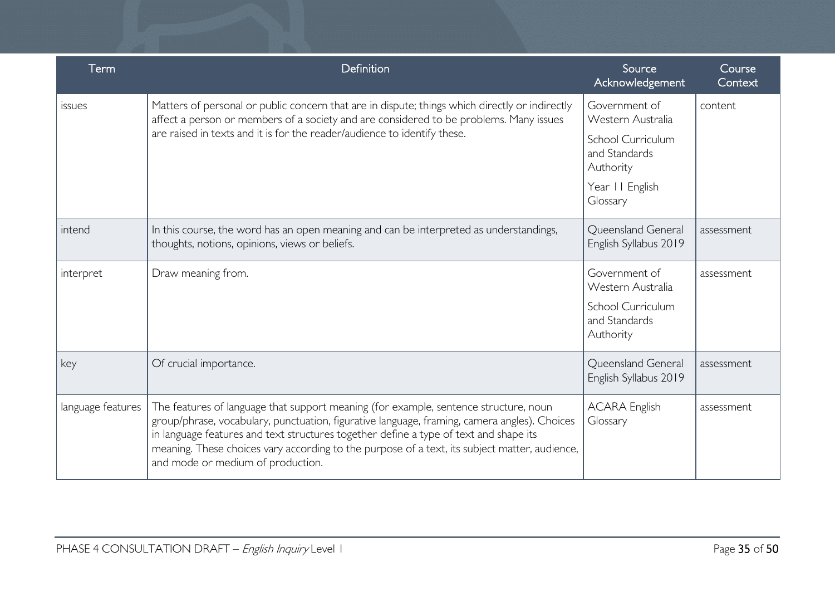| Term              | Definition                                                                                                                                                                                                                                                                                                                                                                                                          | Source<br>Acknowledgement                       | Course<br>Context |
|-------------------|---------------------------------------------------------------------------------------------------------------------------------------------------------------------------------------------------------------------------------------------------------------------------------------------------------------------------------------------------------------------------------------------------------------------|-------------------------------------------------|-------------------|
| <i>issues</i>     | Matters of personal or public concern that are in dispute; things which directly or indirectly<br>affect a person or members of a society and are considered to be problems. Many issues                                                                                                                                                                                                                            | Government of<br>Western Australia              | content           |
|                   | are raised in texts and it is for the reader/audience to identify these.                                                                                                                                                                                                                                                                                                                                            | School Curriculum<br>and Standards<br>Authority |                   |
|                   |                                                                                                                                                                                                                                                                                                                                                                                                                     | Year II English<br>Glossary                     |                   |
| intend            | In this course, the word has an open meaning and can be interpreted as understandings,<br>thoughts, notions, opinions, views or beliefs.                                                                                                                                                                                                                                                                            | Queensland General<br>English Syllabus 2019     | assessment        |
| interpret         | Draw meaning from.                                                                                                                                                                                                                                                                                                                                                                                                  | Government of<br>Western Australia              | assessment        |
|                   |                                                                                                                                                                                                                                                                                                                                                                                                                     | School Curriculum<br>and Standards<br>Authority |                   |
| key               | Of crucial importance.                                                                                                                                                                                                                                                                                                                                                                                              | Queensland General<br>English Syllabus 2019     | assessment        |
| language features | The features of language that support meaning (for example, sentence structure, noun<br>group/phrase, vocabulary, punctuation, figurative language, framing, camera angles). Choices<br>in language features and text structures together define a type of text and shape its<br>meaning. These choices vary according to the purpose of a text, its subject matter, audience,<br>and mode or medium of production. | <b>ACARA English</b><br>Glossary                | assessment        |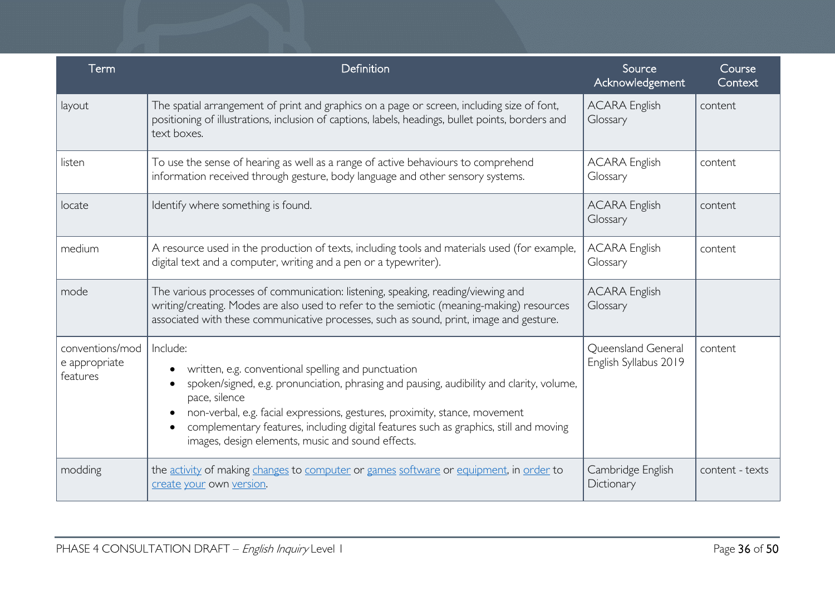| Term                                         | Definition                                                                                                                                                                                                                                                                                                                                                                                               | Source<br>Acknowledgement                   | Course<br>Context |
|----------------------------------------------|----------------------------------------------------------------------------------------------------------------------------------------------------------------------------------------------------------------------------------------------------------------------------------------------------------------------------------------------------------------------------------------------------------|---------------------------------------------|-------------------|
| layout                                       | The spatial arrangement of print and graphics on a page or screen, including size of font,<br>positioning of illustrations, inclusion of captions, labels, headings, bullet points, borders and<br>text boxes.                                                                                                                                                                                           | <b>ACARA English</b><br>Glossary            | content           |
| listen                                       | To use the sense of hearing as well as a range of active behaviours to comprehend<br>information received through gesture, body language and other sensory systems.                                                                                                                                                                                                                                      | <b>ACARA English</b><br>Glossary            | content           |
| locate                                       | Identify where something is found.                                                                                                                                                                                                                                                                                                                                                                       | <b>ACARA English</b><br>Glossary            | content           |
| medium                                       | A resource used in the production of texts, including tools and materials used (for example,<br>digital text and a computer, writing and a pen or a typewriter).                                                                                                                                                                                                                                         | <b>ACARA English</b><br>Glossary            | content           |
| mode                                         | The various processes of communication: listening, speaking, reading/viewing and<br>writing/creating. Modes are also used to refer to the semiotic (meaning-making) resources<br>associated with these communicative processes, such as sound, print, image and gesture.                                                                                                                                 | <b>ACARA English</b><br>Glossary            |                   |
| conventions/mod<br>e appropriate<br>features | Include:<br>written, e.g. conventional spelling and punctuation<br>spoken/signed, e.g. pronunciation, phrasing and pausing, audibility and clarity, volume,<br>pace, silence<br>non-verbal, e.g. facial expressions, gestures, proximity, stance, movement<br>complementary features, including digital features such as graphics, still and moving<br>images, design elements, music and sound effects. | Queensland General<br>English Syllabus 2019 | content           |
| modding                                      | the activity of making changes to computer or games software or equipment, in order to<br>create your own version.                                                                                                                                                                                                                                                                                       | Cambridge English<br>Dictionary             | content - texts   |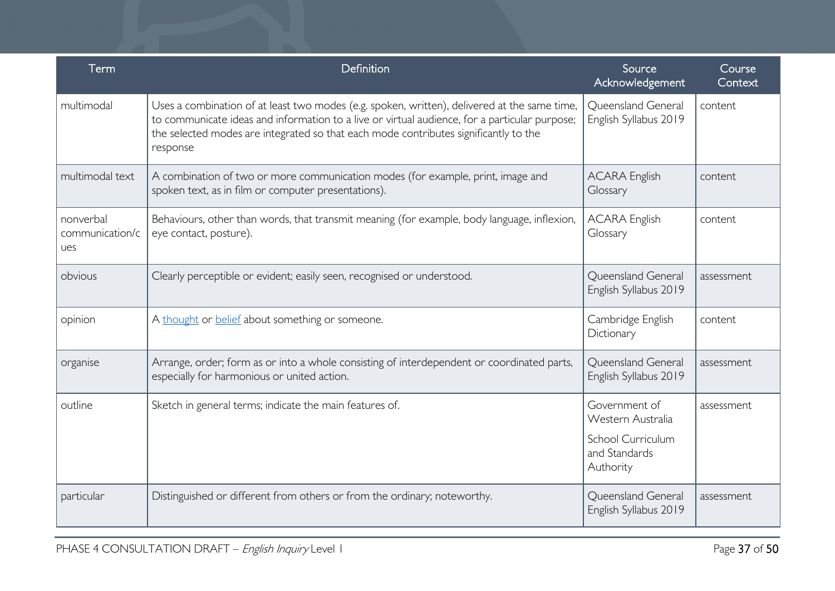| Term                                | Definition                                                                                                                                                                                                                                                                                        | Source<br>Acknowledgement                                                             | Course<br>Context |
|-------------------------------------|---------------------------------------------------------------------------------------------------------------------------------------------------------------------------------------------------------------------------------------------------------------------------------------------------|---------------------------------------------------------------------------------------|-------------------|
| multimodal                          | Uses a combination of at least two modes (e.g. spoken, written), delivered at the same time,<br>to communicate ideas and information to a live or virtual audience, for a particular purpose;<br>the selected modes are integrated so that each mode contributes significantly to the<br>response | Queensland General<br>English Syllabus 2019                                           | content           |
| multimodal text                     | A combination of two or more communication modes (for example, print, image and<br>spoken text, as in film or computer presentations).                                                                                                                                                            | <b>ACARA English</b><br>Glossary                                                      | content           |
| nonverbal<br>communication/c<br>ues | Behaviours, other than words, that transmit meaning (for example, body language, inflexion,<br>eye contact, posture).                                                                                                                                                                             | <b>ACARA English</b><br>Glossary                                                      | content           |
| obvious                             | Clearly perceptible or evident; easily seen, recognised or understood.                                                                                                                                                                                                                            | Queensland General<br>English Syllabus 2019                                           | assessment        |
| opinion                             | A thought or belief about something or someone.                                                                                                                                                                                                                                                   | Cambridge English<br>Dictionary                                                       | content           |
| organise                            | Arrange, order; form as or into a whole consisting of interdependent or coordinated parts,<br>especially for harmonious or united action.                                                                                                                                                         | Queensland General<br>English Syllabus 2019                                           | assessment        |
| outline                             | Sketch in general terms; indicate the main features of.                                                                                                                                                                                                                                           | Government of<br>Western Australia<br>School Curriculum<br>and Standards<br>Authority | assessment        |
| particular                          | Distinguished or different from others or from the ordinary; noteworthy.                                                                                                                                                                                                                          | Queensland General<br>English Syllabus 2019                                           | assessment        |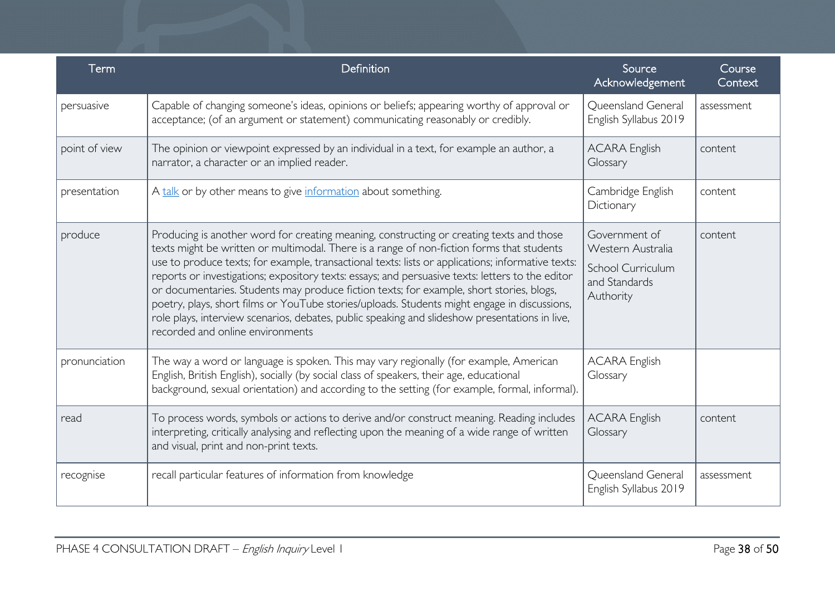| Term          | Definition                                                                                                                                                                                                                                                                                                                                                                                                                                                                                                                                                                                                                                                                                                                       | Source<br>Acknowledgement                                                             | Course<br>Context |
|---------------|----------------------------------------------------------------------------------------------------------------------------------------------------------------------------------------------------------------------------------------------------------------------------------------------------------------------------------------------------------------------------------------------------------------------------------------------------------------------------------------------------------------------------------------------------------------------------------------------------------------------------------------------------------------------------------------------------------------------------------|---------------------------------------------------------------------------------------|-------------------|
| persuasive    | Capable of changing someone's ideas, opinions or beliefs; appearing worthy of approval or<br>acceptance; (of an argument or statement) communicating reasonably or credibly.                                                                                                                                                                                                                                                                                                                                                                                                                                                                                                                                                     | Queensland General<br>English Syllabus 2019                                           | assessment        |
| point of view | The opinion or viewpoint expressed by an individual in a text, for example an author, a<br>narrator, a character or an implied reader.                                                                                                                                                                                                                                                                                                                                                                                                                                                                                                                                                                                           | <b>ACARA English</b><br>Glossary                                                      | content           |
| presentation  | A talk or by other means to give information about something.                                                                                                                                                                                                                                                                                                                                                                                                                                                                                                                                                                                                                                                                    | Cambridge English<br>Dictionary                                                       | content           |
| produce       | Producing is another word for creating meaning, constructing or creating texts and those<br>texts might be written or multimodal. There is a range of non-fiction forms that students<br>use to produce texts; for example, transactional texts: lists or applications; informative texts:<br>reports or investigations; expository texts: essays; and persuasive texts: letters to the editor<br>or documentaries. Students may produce fiction texts; for example, short stories, blogs,<br>poetry, plays, short films or YouTube stories/uploads. Students might engage in discussions,<br>role plays, interview scenarios, debates, public speaking and slideshow presentations in live,<br>recorded and online environments | Government of<br>Western Australia<br>School Curriculum<br>and Standards<br>Authority | content           |
| pronunciation | The way a word or language is spoken. This may vary regionally (for example, American<br>English, British English), socially (by social class of speakers, their age, educational<br>background, sexual orientation) and according to the setting (for example, formal, informal).                                                                                                                                                                                                                                                                                                                                                                                                                                               | <b>ACARA English</b><br>Glossary                                                      |                   |
| read          | To process words, symbols or actions to derive and/or construct meaning. Reading includes<br>interpreting, critically analysing and reflecting upon the meaning of a wide range of written<br>and visual, print and non-print texts.                                                                                                                                                                                                                                                                                                                                                                                                                                                                                             | <b>ACARA English</b><br>Glossary                                                      | content           |
| recognise     | recall particular features of information from knowledge                                                                                                                                                                                                                                                                                                                                                                                                                                                                                                                                                                                                                                                                         | Queensland General<br>English Syllabus 2019                                           | assessment        |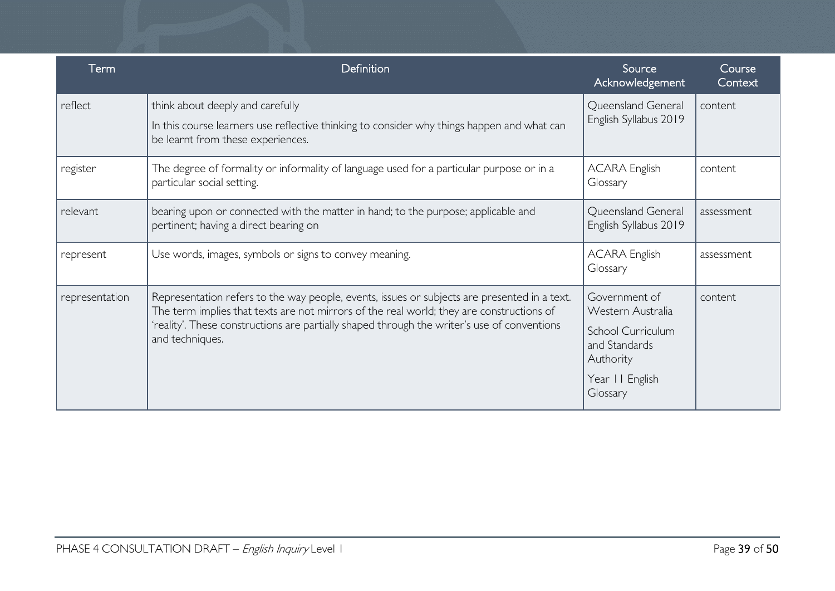| Term           | Definition                                                                                                                                                                                                                                                                                                 | Source<br>Acknowledgement                                                             | Course<br>Context |
|----------------|------------------------------------------------------------------------------------------------------------------------------------------------------------------------------------------------------------------------------------------------------------------------------------------------------------|---------------------------------------------------------------------------------------|-------------------|
| reflect        | think about deeply and carefully<br>In this course learners use reflective thinking to consider why things happen and what can<br>be learnt from these experiences.                                                                                                                                        | Queensland General<br>English Syllabus 2019                                           | content           |
| register       | The degree of formality or informality of language used for a particular purpose or in a<br>particular social setting.                                                                                                                                                                                     | <b>ACARA English</b><br>Glossary                                                      | content           |
| relevant       | bearing upon or connected with the matter in hand; to the purpose; applicable and<br>pertinent; having a direct bearing on                                                                                                                                                                                 | Queensland General<br>English Syllabus 2019                                           | assessment        |
| represent      | Use words, images, symbols or signs to convey meaning.                                                                                                                                                                                                                                                     | <b>ACARA English</b><br>Glossary                                                      | assessment        |
| representation | Representation refers to the way people, events, issues or subjects are presented in a text.<br>The term implies that texts are not mirrors of the real world; they are constructions of<br>'reality'. These constructions are partially shaped through the writer's use of conventions<br>and techniques. | Government of<br>Western Australia<br>School Curriculum<br>and Standards<br>Authority | content           |
|                |                                                                                                                                                                                                                                                                                                            | Year II English<br>Glossary                                                           |                   |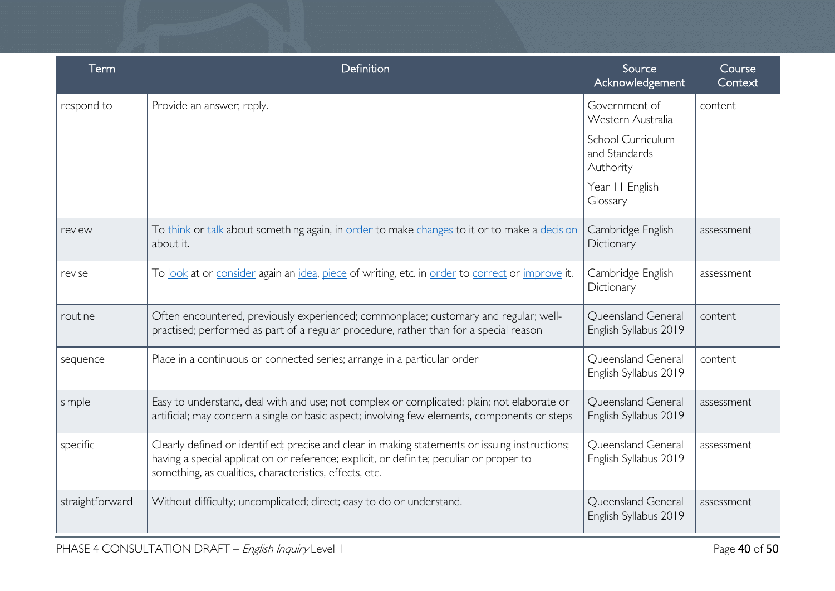| Term            | Definition                                                                                                                                                                                                                                           | Source<br>Acknowledgement                       | Course<br>Context |
|-----------------|------------------------------------------------------------------------------------------------------------------------------------------------------------------------------------------------------------------------------------------------------|-------------------------------------------------|-------------------|
| respond to      | Provide an answer; reply.                                                                                                                                                                                                                            | Government of<br>Western Australia              | content           |
|                 |                                                                                                                                                                                                                                                      | School Curriculum<br>and Standards<br>Authority |                   |
|                 |                                                                                                                                                                                                                                                      | Year II English<br>Glossary                     |                   |
| review          | To think or talk about something again, in order to make changes to it or to make a decision<br>about it.                                                                                                                                            | Cambridge English<br>Dictionary                 | assessment        |
| revise          | To look at or consider again an idea, piece of writing, etc. in order to correct or improve it.                                                                                                                                                      | Cambridge English<br>Dictionary                 | assessment        |
| routine         | Often encountered, previously experienced; commonplace; customary and regular; well-<br>practised; performed as part of a regular procedure, rather than for a special reason                                                                        | Queensland General<br>English Syllabus 2019     | content           |
| sequence        | Place in a continuous or connected series; arrange in a particular order                                                                                                                                                                             | Queensland General<br>English Syllabus 2019     | content           |
| simple          | Easy to understand, deal with and use; not complex or complicated; plain; not elaborate or<br>artificial; may concern a single or basic aspect; involving few elements, components or steps                                                          | Queensland General<br>English Syllabus 2019     | assessment        |
| specific        | Clearly defined or identified; precise and clear in making statements or issuing instructions;<br>having a special application or reference; explicit, or definite; peculiar or proper to<br>something, as qualities, characteristics, effects, etc. | Queensland General<br>English Syllabus 2019     | assessment        |
| straightforward | Without difficulty; uncomplicated; direct; easy to do or understand.                                                                                                                                                                                 | Queensland General<br>English Syllabus 2019     | assessment        |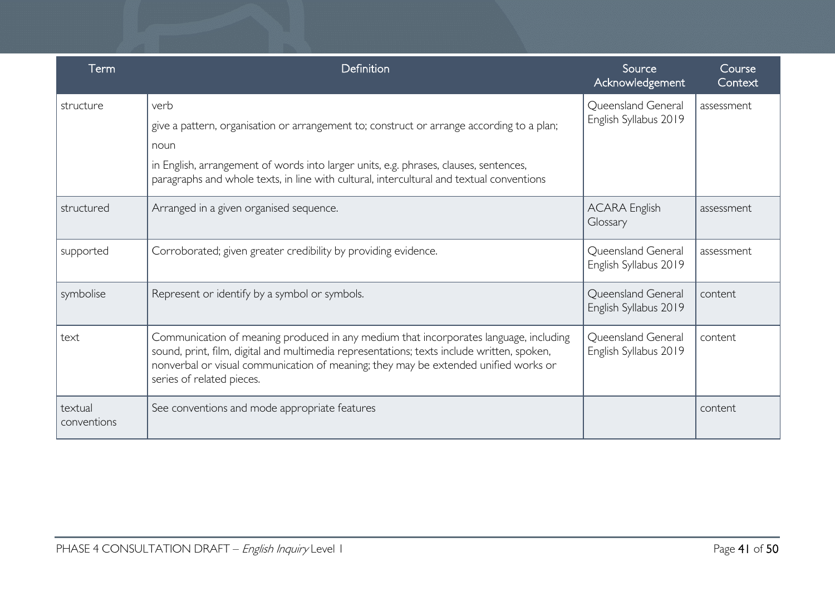| Term                   | Definition                                                                                                                                                                                                                                                                                              | Source<br>Acknowledgement                   | Course<br>Context |
|------------------------|---------------------------------------------------------------------------------------------------------------------------------------------------------------------------------------------------------------------------------------------------------------------------------------------------------|---------------------------------------------|-------------------|
| structure              | verb<br>give a pattern, organisation or arrangement to; construct or arrange according to a plan;<br>noun<br>in English, arrangement of words into larger units, e.g. phrases, clauses, sentences,<br>paragraphs and whole texts, in line with cultural, intercultural and textual conventions          | Queensland General<br>English Syllabus 2019 | assessment        |
| structured             | Arranged in a given organised sequence.                                                                                                                                                                                                                                                                 | <b>ACARA English</b><br>Glossary            | assessment        |
| supported              | Corroborated; given greater credibility by providing evidence.                                                                                                                                                                                                                                          | Queensland General<br>English Syllabus 2019 | assessment        |
| symbolise              | Represent or identify by a symbol or symbols.                                                                                                                                                                                                                                                           | Queensland General<br>English Syllabus 2019 | content           |
| text                   | Communication of meaning produced in any medium that incorporates language, including<br>sound, print, film, digital and multimedia representations; texts include written, spoken,<br>nonverbal or visual communication of meaning; they may be extended unified works or<br>series of related pieces. | Queensland General<br>English Syllabus 2019 | content           |
| textual<br>conventions | See conventions and mode appropriate features                                                                                                                                                                                                                                                           |                                             | content           |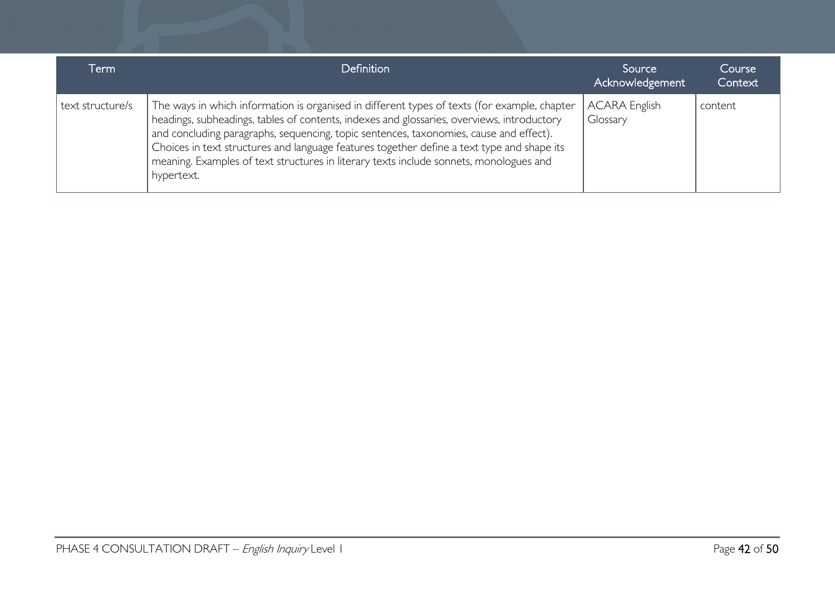| Term             | <b>Definition</b>                                                                                                                                                                                                                                                                                                                                                                                                                                                                          | Source<br>Acknowledgement        | Course<br>Context |
|------------------|--------------------------------------------------------------------------------------------------------------------------------------------------------------------------------------------------------------------------------------------------------------------------------------------------------------------------------------------------------------------------------------------------------------------------------------------------------------------------------------------|----------------------------------|-------------------|
| text structure/s | The ways in which information is organised in different types of texts (for example, chapter<br>headings, subheadings, tables of contents, indexes and glossaries, overviews, introductory<br>and concluding paragraphs, sequencing, topic sentences, taxonomies, cause and effect).<br>Choices in text structures and language features together define a text type and shape its<br>meaning. Examples of text structures in literary texts include sonnets, monologues and<br>hypertext. | <b>ACARA English</b><br>Glossary | content           |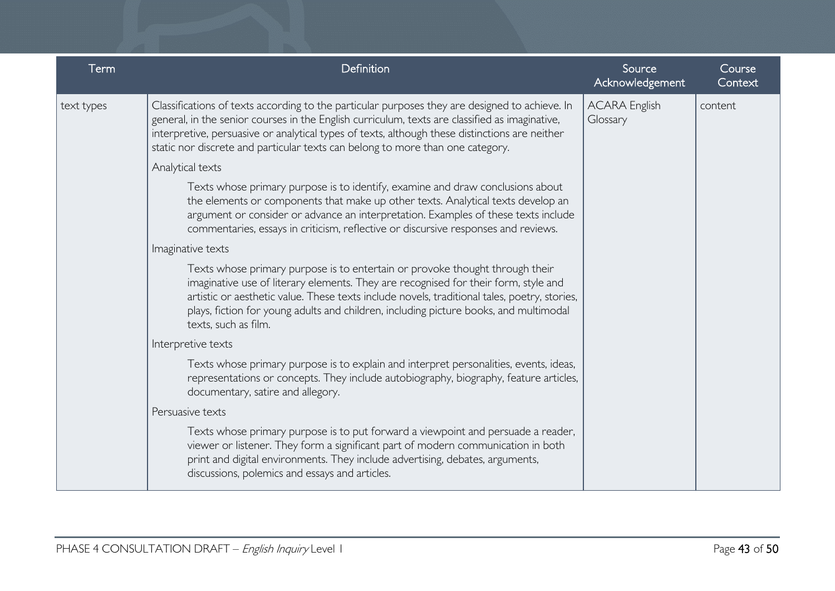| Term       | Definition                                                                                                                                                                                                                                                                                                                                                                           | Source<br>Acknowledgement        | Course<br>Context |
|------------|--------------------------------------------------------------------------------------------------------------------------------------------------------------------------------------------------------------------------------------------------------------------------------------------------------------------------------------------------------------------------------------|----------------------------------|-------------------|
| text types | Classifications of texts according to the particular purposes they are designed to achieve. In<br>general, in the senior courses in the English curriculum, texts are classified as imaginative,<br>interpretive, persuasive or analytical types of texts, although these distinctions are neither<br>static nor discrete and particular texts can belong to more than one category. | <b>ACARA English</b><br>Glossary | content           |
|            | Analytical texts                                                                                                                                                                                                                                                                                                                                                                     |                                  |                   |
|            | Texts whose primary purpose is to identify, examine and draw conclusions about<br>the elements or components that make up other texts. Analytical texts develop an<br>argument or consider or advance an interpretation. Examples of these texts include<br>commentaries, essays in criticism, reflective or discursive responses and reviews.                                       |                                  |                   |
|            | Imaginative texts                                                                                                                                                                                                                                                                                                                                                                    |                                  |                   |
|            | Texts whose primary purpose is to entertain or provoke thought through their<br>imaginative use of literary elements. They are recognised for their form, style and<br>artistic or aesthetic value. These texts include novels, traditional tales, poetry, stories,<br>plays, fiction for young adults and children, including picture books, and multimodal<br>texts, such as film. |                                  |                   |
|            | Interpretive texts                                                                                                                                                                                                                                                                                                                                                                   |                                  |                   |
|            | Texts whose primary purpose is to explain and interpret personalities, events, ideas,<br>representations or concepts. They include autobiography, biography, feature articles,<br>documentary, satire and allegory.                                                                                                                                                                  |                                  |                   |
|            | Persuasive texts                                                                                                                                                                                                                                                                                                                                                                     |                                  |                   |
|            | Texts whose primary purpose is to put forward a viewpoint and persuade a reader,<br>viewer or listener. They form a significant part of modern communication in both<br>print and digital environments. They include advertising, debates, arguments,<br>discussions, polemics and essays and articles.                                                                              |                                  |                   |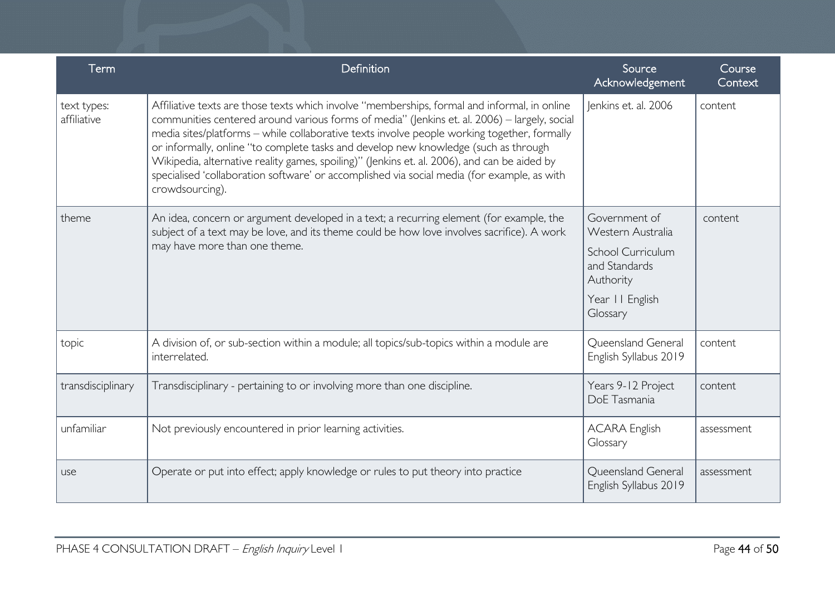| Term                       | Definition                                                                                                                                                                                                                                                                                                                                                                                                                                                                                                                                                                                           | Source<br>Acknowledgement                       | Course<br>Context |
|----------------------------|------------------------------------------------------------------------------------------------------------------------------------------------------------------------------------------------------------------------------------------------------------------------------------------------------------------------------------------------------------------------------------------------------------------------------------------------------------------------------------------------------------------------------------------------------------------------------------------------------|-------------------------------------------------|-------------------|
| text types:<br>affiliative | Affiliative texts are those texts which involve "memberships, formal and informal, in online<br>communities centered around various forms of media" (Jenkins et. al. 2006) - largely, social<br>media sites/platforms - while collaborative texts involve people working together, formally<br>or informally, online "to complete tasks and develop new knowledge (such as through<br>Wikipedia, alternative reality games, spoiling)" (Jenkins et. al. 2006), and can be aided by<br>specialised 'collaboration software' or accomplished via social media (for example, as with<br>crowdsourcing). | Jenkins et. al. 2006                            | content           |
| theme                      | An idea, concern or argument developed in a text; a recurring element (for example, the<br>subject of a text may be love, and its theme could be how love involves sacrifice). A work<br>may have more than one theme.                                                                                                                                                                                                                                                                                                                                                                               | Government of<br>Western Australia              | content           |
|                            |                                                                                                                                                                                                                                                                                                                                                                                                                                                                                                                                                                                                      | School Curriculum<br>and Standards<br>Authority |                   |
|                            |                                                                                                                                                                                                                                                                                                                                                                                                                                                                                                                                                                                                      | Year II English<br>Glossary                     |                   |
| topic                      | A division of, or sub-section within a module; all topics/sub-topics within a module are<br>interrelated.                                                                                                                                                                                                                                                                                                                                                                                                                                                                                            | Queensland General<br>English Syllabus 2019     | content           |
| transdisciplinary          | Transdisciplinary - pertaining to or involving more than one discipline.                                                                                                                                                                                                                                                                                                                                                                                                                                                                                                                             | Years 9-12 Project<br>DoE Tasmania              | content           |
| unfamiliar                 | Not previously encountered in prior learning activities.                                                                                                                                                                                                                                                                                                                                                                                                                                                                                                                                             | <b>ACARA English</b><br>Glossary                | assessment        |
| use                        | Operate or put into effect; apply knowledge or rules to put theory into practice                                                                                                                                                                                                                                                                                                                                                                                                                                                                                                                     | Queensland General<br>English Syllabus 2019     | assessment        |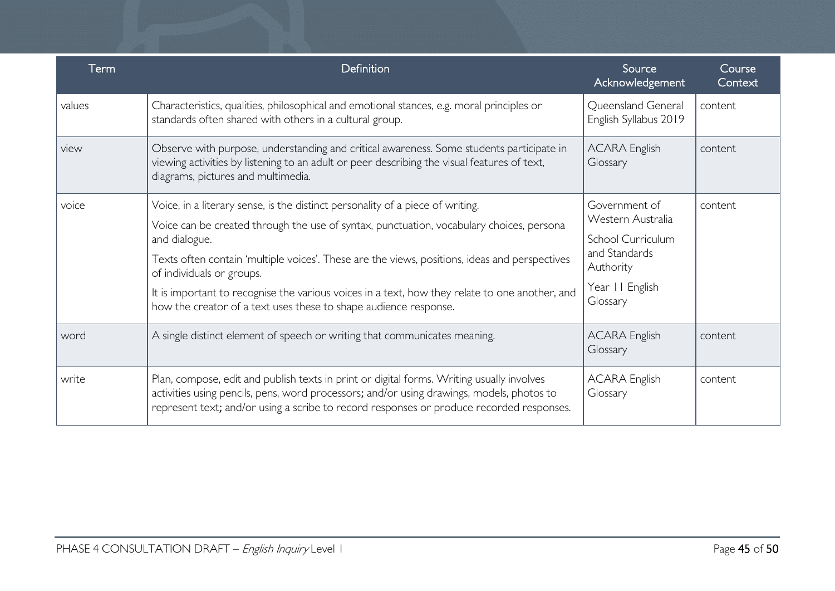| Term   | Definition                                                                                                                                                                                                                                                                                                                                                                                                                                                                                      | Source<br>Acknowledgement                                                                                            | Course<br>Context |
|--------|-------------------------------------------------------------------------------------------------------------------------------------------------------------------------------------------------------------------------------------------------------------------------------------------------------------------------------------------------------------------------------------------------------------------------------------------------------------------------------------------------|----------------------------------------------------------------------------------------------------------------------|-------------------|
| values | Characteristics, qualities, philosophical and emotional stances, e.g. moral principles or<br>standards often shared with others in a cultural group.                                                                                                                                                                                                                                                                                                                                            | Queensland General<br>English Syllabus 2019                                                                          | content           |
| view   | Observe with purpose, understanding and critical awareness. Some students participate in<br>viewing activities by listening to an adult or peer describing the visual features of text,<br>diagrams, pictures and multimedia.                                                                                                                                                                                                                                                                   | <b>ACARA English</b><br>Glossary                                                                                     | content           |
| voice  | Voice, in a literary sense, is the distinct personality of a piece of writing.<br>Voice can be created through the use of syntax, punctuation, vocabulary choices, persona<br>and dialogue.<br>Texts often contain 'multiple voices'. These are the views, positions, ideas and perspectives<br>of individuals or groups.<br>It is important to recognise the various voices in a text, how they relate to one another, and<br>how the creator of a text uses these to shape audience response. | Government of<br>Western Australia<br>School Curriculum<br>and Standards<br>Authority<br>Year II English<br>Glossary | content           |
| word   | A single distinct element of speech or writing that communicates meaning.                                                                                                                                                                                                                                                                                                                                                                                                                       | <b>ACARA English</b><br>Glossary                                                                                     | content           |
| write  | Plan, compose, edit and publish texts in print or digital forms. Writing usually involves<br>activities using pencils, pens, word processors; and/or using drawings, models, photos to<br>represent text; and/or using a scribe to record responses or produce recorded responses.                                                                                                                                                                                                              | <b>ACARA English</b><br>Glossary                                                                                     | content           |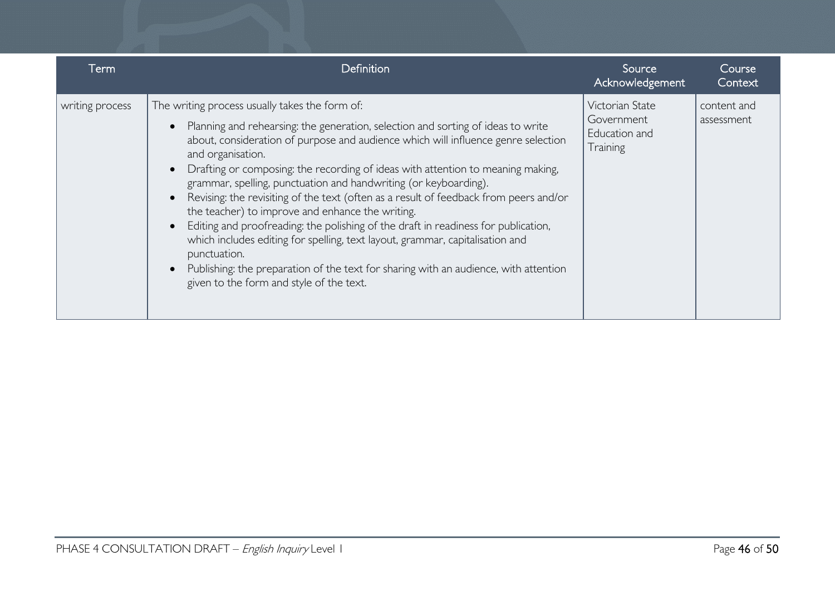| Term            | <b>Definition</b>                                                                                                                                                                                                                                                                                                                                                                                                                                                                                                                                                                                                                                                                                                                                                                                                                                                           | Source<br>Acknowledgement                                  | Course<br>Context         |
|-----------------|-----------------------------------------------------------------------------------------------------------------------------------------------------------------------------------------------------------------------------------------------------------------------------------------------------------------------------------------------------------------------------------------------------------------------------------------------------------------------------------------------------------------------------------------------------------------------------------------------------------------------------------------------------------------------------------------------------------------------------------------------------------------------------------------------------------------------------------------------------------------------------|------------------------------------------------------------|---------------------------|
| writing process | The writing process usually takes the form of:<br>Planning and rehearsing: the generation, selection and sorting of ideas to write<br>about, consideration of purpose and audience which will influence genre selection<br>and organisation.<br>Drafting or composing: the recording of ideas with attention to meaning making,<br>grammar, spelling, punctuation and handwriting (or keyboarding).<br>Revising: the revisiting of the text (often as a result of feedback from peers and/or<br>the teacher) to improve and enhance the writing.<br>Editing and proofreading: the polishing of the draft in readiness for publication,<br>which includes editing for spelling, text layout, grammar, capitalisation and<br>punctuation.<br>Publishing: the preparation of the text for sharing with an audience, with attention<br>given to the form and style of the text. | Victorian State<br>Government<br>Education and<br>Training | content and<br>assessment |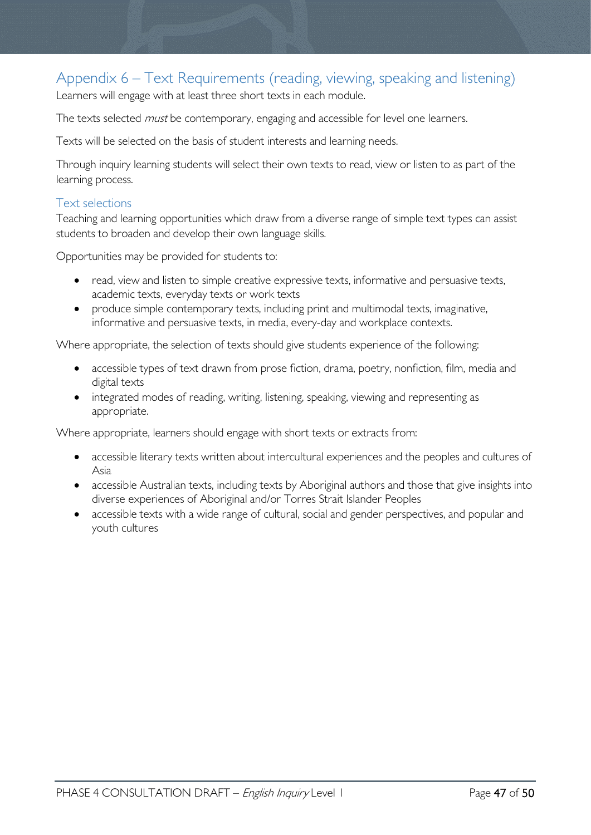# <span id="page-46-0"></span>Appendix 6 – Text Requirements (reading, viewing, speaking and listening)

Learners will engage with at least three short texts in each module.

The texts selected *must* be contemporary, engaging and accessible for level one learners.

Texts will be selected on the basis of student interests and learning needs.

Through inquiry learning students will select their own texts to read, view or listen to as part of the learning process.

### <span id="page-46-1"></span>Text selections

Teaching and learning opportunities which draw from a diverse range of simple text types can assist students to broaden and develop their own language skills.

Opportunities may be provided for students to:

- read, view and listen to simple creative expressive texts, informative and persuasive texts, academic texts, everyday texts or work texts
- produce simple contemporary texts, including print and multimodal texts, imaginative, informative and persuasive texts, in media, every-day and workplace contexts.

Where appropriate, the selection of texts should give students experience of the following:

- accessible types of text drawn from prose fiction, drama, poetry, nonfiction, film, media and digital texts
- integrated modes of reading, writing, listening, speaking, viewing and representing as appropriate.

Where appropriate, learners should engage with short texts or extracts from:

- accessible literary texts written about intercultural experiences and the peoples and cultures of Asia
- accessible Australian texts, including texts by Aboriginal authors and those that give insights into diverse experiences of Aboriginal and/or Torres Strait Islander Peoples
- accessible texts with a wide range of cultural, social and gender perspectives, and popular and youth cultures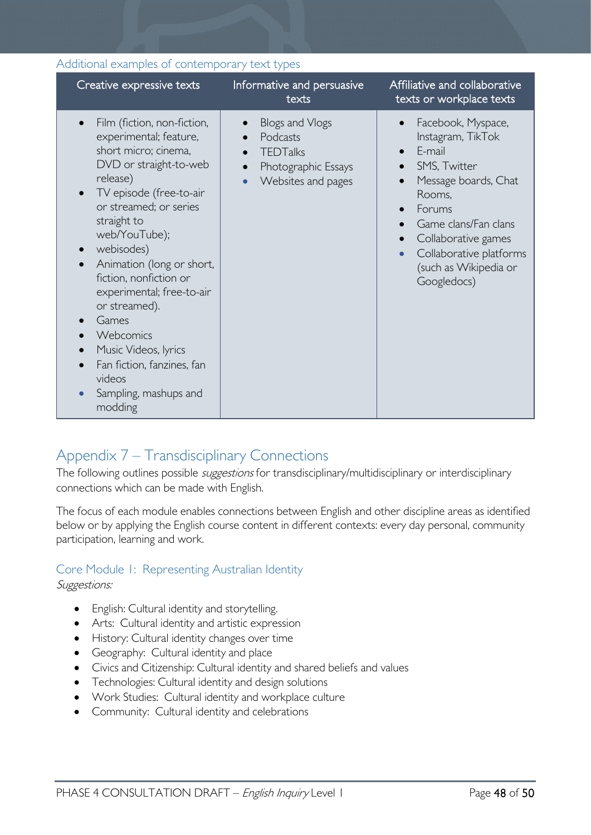| Creative expressive texts                                                                                                                                                                                                                                                                                                                                                                                                                             | Informative and persuasive<br>texts                                                                                   | Affiliative and collaborative<br>texts or workplace texts                                                                                                                                                                                                 |
|-------------------------------------------------------------------------------------------------------------------------------------------------------------------------------------------------------------------------------------------------------------------------------------------------------------------------------------------------------------------------------------------------------------------------------------------------------|-----------------------------------------------------------------------------------------------------------------------|-----------------------------------------------------------------------------------------------------------------------------------------------------------------------------------------------------------------------------------------------------------|
| Film (fiction, non-fiction,<br>experimental; feature,<br>short micro; cinema,<br>DVD or straight-to-web<br>release)<br>TV episode (free-to-air<br>or streamed; or series<br>straight to<br>web/YouTube);<br>webisodes)<br>Animation (long or short,<br>fiction, nonfiction or<br>experimental; free-to-air<br>or streamed).<br>Games<br>Webcomics<br>Music Videos, lyrics<br>Fan fiction, fanzines, fan<br>videos<br>Sampling, mashups and<br>modding | Blogs and Vlogs<br>Podcasts<br>$\bullet$<br><b>TEDTalks</b><br>$\bullet$<br>Photographic Essays<br>Websites and pages | Facebook, Myspace,<br>Instagram, TikTok<br>E-mail<br>$\bullet$<br>SMS, Twitter<br>Message boards, Chat<br>Rooms,<br>Forums<br>Game clans/Fan clans<br>Collaborative games<br>Collaborative platforms<br>$\bullet$<br>(such as Wikipedia or<br>Googledocs) |

#### <span id="page-47-0"></span>Additional examples of contemporary text types

# <span id="page-47-1"></span>Appendix 7 – Transdisciplinary Connections

The following outlines possible *suggestions* for transdisciplinary/multidisciplinary or interdisciplinary connections which can be made with English.

The focus of each module enables connections between English and other discipline areas as identified below or by applying the English course content in different contexts: every day personal, community participation, learning and work.

### <span id="page-47-2"></span>Core Module 1: Representing Australian Identity

#### Suggestions:

- English: Cultural identity and storytelling.
- Arts: Cultural identity and artistic expression
- History: Cultural identity changes over time
- Geography: Cultural identity and place
- Civics and Citizenship: Cultural identity and shared beliefs and values
- Technologies: Cultural identity and design solutions
- Work Studies: Cultural identity and workplace culture
- Community: Cultural identity and celebrations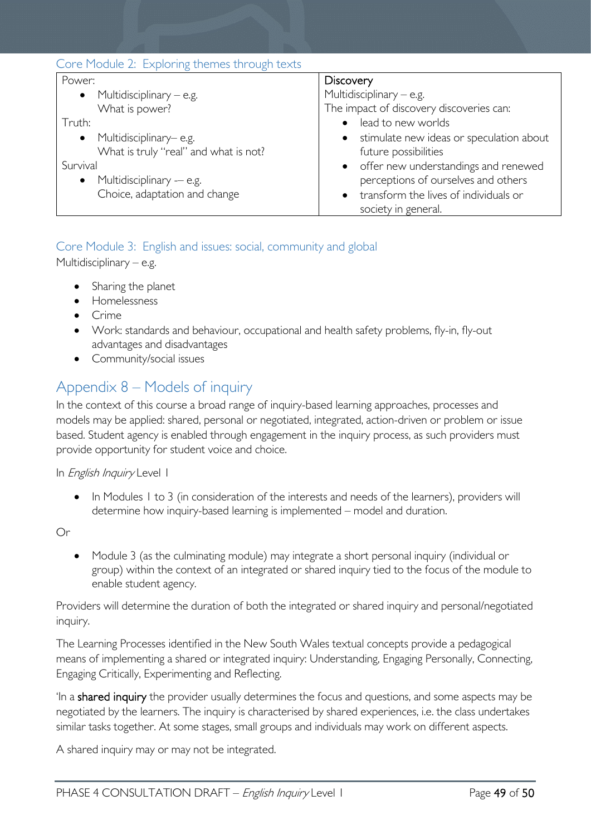<span id="page-48-0"></span>

| Core Module 2: Exploring themes through texts |                                                       |  |  |  |
|-----------------------------------------------|-------------------------------------------------------|--|--|--|
| Power:                                        | <b>Discovery</b>                                      |  |  |  |
| Multidisciplinary $-$ e.g.<br>$\bullet$       | Multidisciplinary $-$ e.g.                            |  |  |  |
| What is power?                                | The impact of discovery discoveries can:              |  |  |  |
| Truth:                                        | lead to new worlds<br>$\bullet$                       |  |  |  |
| Multidisciplinary– e.g.<br>$\bullet$          | stimulate new ideas or speculation about<br>$\bullet$ |  |  |  |
| What is truly "real" and what is not?         | future possibilities                                  |  |  |  |
| Survival                                      | • offer new understandings and renewed                |  |  |  |
| Multidisciplinary -- e.g.<br>$\bullet$        | perceptions of ourselves and others                   |  |  |  |
| Choice, adaptation and change                 | transform the lives of individuals or<br>$\bullet$    |  |  |  |
|                                               | society in general.                                   |  |  |  |

# <span id="page-48-1"></span>Core Module 3: English and issues: social, community and global

Multidisciplinary – e.g.

- Sharing the planet
- Homelessness
- Crime
- Work: standards and behaviour, occupational and health safety problems, fly-in, fly-out advantages and disadvantages
- Community/social issues

# <span id="page-48-2"></span>Appendix 8 – Models of inquiry

In the context of this course a broad range of inquiry-based learning approaches, processes and models may be applied: shared, personal or negotiated, integrated, action-driven or problem or issue based. Student agency is enabled through engagement in the inquiry process, as such providers must provide opportunity for student voice and choice.

In *English Inquiry* Level 1

• In Modules 1 to 3 (in consideration of the interests and needs of the learners), providers will determine how inquiry-based learning is implemented – model and duration.

Or

• Module 3 (as the culminating module) may integrate a short personal inquiry (individual or group) within the context of an integrated or shared inquiry tied to the focus of the module to enable student agency.

Providers will determine the duration of both the integrated or shared inquiry and personal/negotiated inquiry.

The Learning Processes identified in the New South Wales textual concepts provide a pedagogical means of implementing a shared or integrated inquiry: Understanding, Engaging Personally, Connecting, Engaging Critically, Experimenting and Reflecting.

In a shared inquiry the provider usually determines the focus and questions, and some aspects may be negotiated by the learners. The inquiry is characterised by shared experiences, i.e. the class undertakes similar tasks together. At some stages, small groups and individuals may work on different aspects.

A shared inquiry may or may not be integrated.